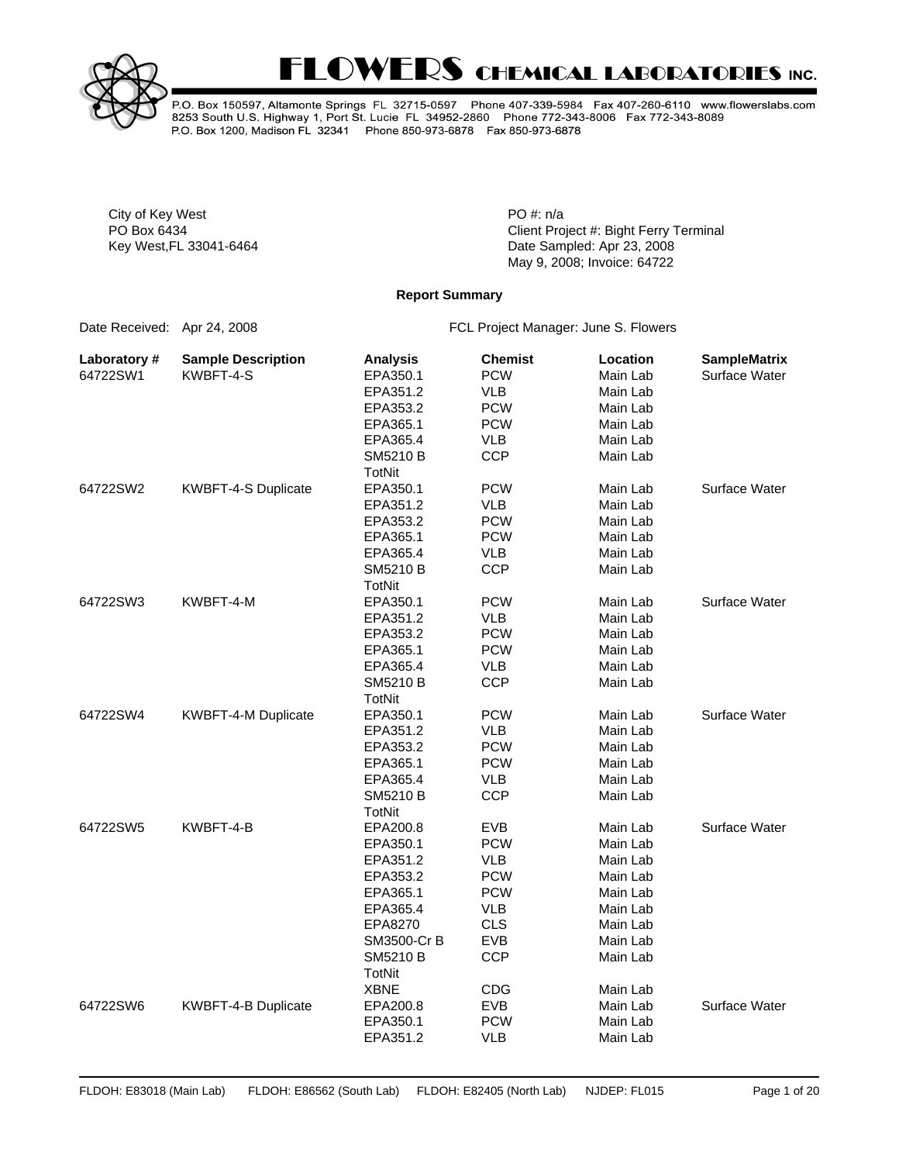



P.O. Box 150597, Altamonte Springs FL 32715-0597 Phone 407-339-5984 Fax 407-260-6110 www.flowerslabs.com<br>8253 South U.S. Highway 1, Port St. Lucie FL 34952-2860 Phone 772-343-8006 Fax 772-343-8089 P.O. Box 1200, Madison FL 32341 Phone 850-973-6878 Fax 850-973-6878

City of Key West **PO** #: n/a

PO Box 6434 **PO Box 6434** Client Project #: Bight Ferry Terminal Key West,FL 33041-6464 Date Sampled: Apr 23, 2008 May 9, 2008; Invoice: 64722

#### **Report Summary**

Date Received: Apr 24, 2008 FCL Project Manager: June S. Flowers

| Laboratory # | <b>Sample Description</b> | <b>Analysis</b> | <b>Chemist</b> | Location | <b>SampleMatrix</b> |
|--------------|---------------------------|-----------------|----------------|----------|---------------------|
| 64722SW1     | KWBFT-4-S                 | EPA350.1        | <b>PCW</b>     | Main Lab | Surface Water       |
|              |                           | EPA351.2        | VLB            | Main Lab |                     |
|              |                           | EPA353.2        | <b>PCW</b>     | Main Lab |                     |
|              |                           | EPA365.1        | <b>PCW</b>     | Main Lab |                     |
|              |                           | EPA365.4        | <b>VLB</b>     | Main Lab |                     |
|              |                           | SM5210 B        | <b>CCP</b>     | Main Lab |                     |
|              |                           | <b>TotNit</b>   |                |          |                     |
| 64722SW2     | KWBFT-4-S Duplicate       | EPA350.1        | <b>PCW</b>     | Main Lab | Surface Water       |
|              |                           | EPA351.2        | <b>VLB</b>     | Main Lab |                     |
|              |                           | EPA353.2        | <b>PCW</b>     | Main Lab |                     |
|              |                           | EPA365.1        | <b>PCW</b>     | Main Lab |                     |
|              |                           | EPA365.4        | <b>VLB</b>     | Main Lab |                     |
|              |                           | SM5210 B        | <b>CCP</b>     | Main Lab |                     |
|              |                           | <b>TotNit</b>   |                |          |                     |
| 64722SW3     | KWBFT-4-M                 | EPA350.1        | <b>PCW</b>     | Main Lab | Surface Water       |
|              |                           | EPA351.2        | <b>VLB</b>     | Main Lab |                     |
|              |                           | EPA353.2        | <b>PCW</b>     | Main Lab |                     |
|              |                           | EPA365.1        | <b>PCW</b>     | Main Lab |                     |
|              |                           | EPA365.4        | <b>VLB</b>     | Main Lab |                     |
|              |                           | SM5210 B        | <b>CCP</b>     | Main Lab |                     |
|              |                           | TotNit          |                |          |                     |
| 64722SW4     | KWBFT-4-M Duplicate       | EPA350.1        | <b>PCW</b>     | Main Lab | Surface Water       |
|              |                           | EPA351.2        | <b>VLB</b>     | Main Lab |                     |
|              |                           | EPA353.2        | <b>PCW</b>     | Main Lab |                     |
|              |                           | EPA365.1        | <b>PCW</b>     | Main Lab |                     |
|              |                           | EPA365.4        | <b>VLB</b>     | Main Lab |                     |
|              |                           | SM5210 B        | <b>CCP</b>     | Main Lab |                     |
|              |                           | <b>TotNit</b>   |                |          |                     |
| 64722SW5     | KWBFT-4-B                 | EPA200.8        | <b>EVB</b>     | Main Lab | Surface Water       |
|              |                           | EPA350.1        | <b>PCW</b>     | Main Lab |                     |
|              |                           | EPA351.2        | <b>VLB</b>     | Main Lab |                     |
|              |                           | EPA353.2        | <b>PCW</b>     | Main Lab |                     |
|              |                           | EPA365.1        | <b>PCW</b>     | Main Lab |                     |
|              |                           | EPA365.4        | <b>VLB</b>     | Main Lab |                     |
|              |                           | EPA8270         | <b>CLS</b>     | Main Lab |                     |
|              |                           | SM3500-Cr B     | <b>EVB</b>     | Main Lab |                     |
|              |                           | SM5210 B        | <b>CCP</b>     | Main Lab |                     |
|              |                           | TotNit          |                |          |                     |
|              |                           | <b>XBNE</b>     | <b>CDG</b>     | Main Lab |                     |
| 64722SW6     | KWBFT-4-B Duplicate       | EPA200.8        | <b>EVB</b>     | Main Lab | Surface Water       |
|              |                           | EPA350.1        | <b>PCW</b>     | Main Lab |                     |
|              |                           | EPA351.2        | <b>VLB</b>     | Main Lab |                     |
|              |                           |                 |                |          |                     |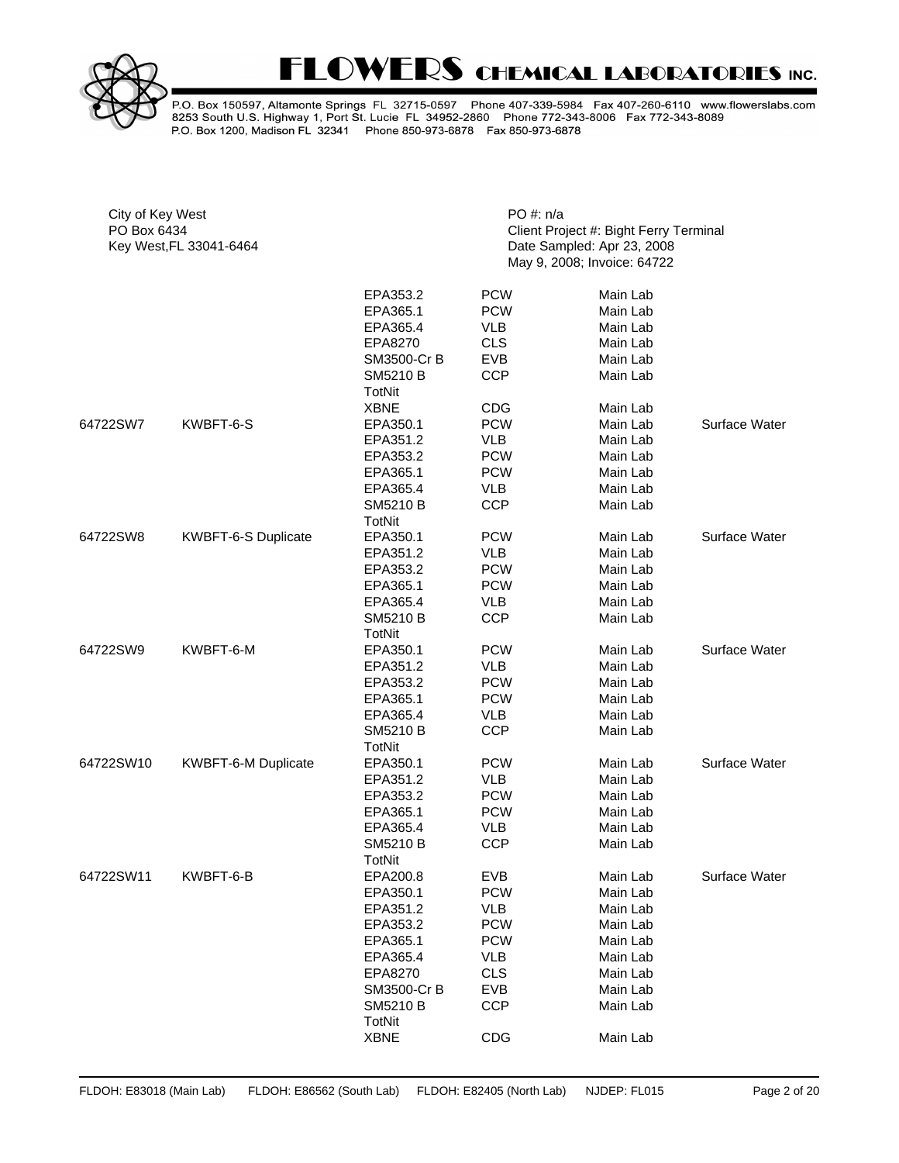

P.O. Box 150597, Altamonte Springs FL 32715-0597 Phone 407-339-5984 Fax 407-260-6110 www.flowerslabs.com<br>8253 South U.S. Highway 1, Port St. Lucie FL 34952-2860 Phone 772-343-8006 Fax 772-343-8089<br>P.O. Box 1200, Madison FL

| City of Key West<br>PO Box 6434<br>Key West, FL 33041-6464 |                     | PO #: n/a                        | Client Project #: Bight Ferry Terminal<br>Date Sampled: Apr 23, 2008<br>May 9, 2008; Invoice: 64722 |                                  |               |  |  |  |
|------------------------------------------------------------|---------------------|----------------------------------|-----------------------------------------------------------------------------------------------------|----------------------------------|---------------|--|--|--|
|                                                            |                     | EPA353.2<br>EPA365.1<br>EPA365.4 | <b>PCW</b><br><b>PCW</b><br><b>VLB</b>                                                              | Main Lab<br>Main Lab<br>Main Lab |               |  |  |  |
|                                                            |                     | EPA8270                          | <b>CLS</b>                                                                                          | Main Lab                         |               |  |  |  |
|                                                            |                     | SM3500-Cr B                      | <b>EVB</b>                                                                                          | Main Lab                         |               |  |  |  |
|                                                            |                     | <b>SM5210 B</b><br><b>TotNit</b> | <b>CCP</b>                                                                                          | Main Lab                         |               |  |  |  |
|                                                            |                     | <b>XBNE</b>                      | <b>CDG</b>                                                                                          | Main Lab                         |               |  |  |  |
| 64722SW7                                                   | KWBFT-6-S           | EPA350.1                         | <b>PCW</b>                                                                                          | Main Lab                         | Surface Water |  |  |  |
|                                                            |                     | EPA351.2                         | <b>VLB</b>                                                                                          | Main Lab                         |               |  |  |  |
|                                                            |                     | EPA353.2                         | <b>PCW</b>                                                                                          | Main Lab                         |               |  |  |  |
|                                                            |                     | EPA365.1                         | <b>PCW</b>                                                                                          | Main Lab                         |               |  |  |  |
|                                                            |                     | EPA365.4                         | <b>VLB</b>                                                                                          | Main Lab                         |               |  |  |  |
|                                                            |                     | SM5210 B<br>TotNit               | <b>CCP</b>                                                                                          | Main Lab                         |               |  |  |  |
| 64722SW8                                                   | KWBFT-6-S Duplicate | EPA350.1                         | <b>PCW</b>                                                                                          | Main Lab                         | Surface Water |  |  |  |
|                                                            |                     | EPA351.2                         | <b>VLB</b>                                                                                          | Main Lab                         |               |  |  |  |
|                                                            |                     | EPA353.2                         | <b>PCW</b>                                                                                          | Main Lab                         |               |  |  |  |
|                                                            |                     | EPA365.1                         | <b>PCW</b>                                                                                          | Main Lab                         |               |  |  |  |
|                                                            |                     | EPA365.4                         | <b>VLB</b>                                                                                          | Main Lab                         |               |  |  |  |
|                                                            |                     | <b>SM5210 B</b><br><b>TotNit</b> | <b>CCP</b>                                                                                          | Main Lab                         |               |  |  |  |
| 64722SW9                                                   | KWBFT-6-M           | EPA350.1                         | <b>PCW</b>                                                                                          | Main Lab                         | Surface Water |  |  |  |
|                                                            |                     | EPA351.2                         | <b>VLB</b>                                                                                          | Main Lab                         |               |  |  |  |
|                                                            |                     | EPA353.2                         | <b>PCW</b>                                                                                          | Main Lab                         |               |  |  |  |
|                                                            |                     | EPA365.1                         | <b>PCW</b>                                                                                          | Main Lab                         |               |  |  |  |
|                                                            |                     | EPA365.4                         | <b>VLB</b>                                                                                          | Main Lab                         |               |  |  |  |
|                                                            |                     | <b>SM5210 B</b><br>TotNit        | <b>CCP</b>                                                                                          | Main Lab                         |               |  |  |  |
| 64722SW10                                                  | KWBFT-6-M Duplicate | EPA350.1                         | <b>PCW</b>                                                                                          | Main Lab                         | Surface Water |  |  |  |
|                                                            |                     | EPA351.2                         | <b>VLB</b>                                                                                          | Main Lab                         |               |  |  |  |
|                                                            |                     | EPA353.2                         | <b>PCW</b>                                                                                          | Main Lab                         |               |  |  |  |
|                                                            |                     | EPA365.1                         | <b>PCW</b>                                                                                          | Main Lab                         |               |  |  |  |
|                                                            |                     | EPA365.4                         | <b>VLB</b>                                                                                          | Main Lab                         |               |  |  |  |
|                                                            |                     | SM5210 B<br><b>TotNit</b>        | <b>CCP</b>                                                                                          | Main Lab                         |               |  |  |  |
| 64722SW11                                                  | KWBFT-6-B           | EPA200.8                         | <b>EVB</b>                                                                                          | Main Lab                         | Surface Water |  |  |  |
|                                                            |                     | EPA350.1                         | <b>PCW</b>                                                                                          | Main Lab                         |               |  |  |  |
|                                                            |                     | EPA351.2                         | <b>VLB</b>                                                                                          | Main Lab                         |               |  |  |  |
|                                                            |                     | EPA353.2                         | <b>PCW</b>                                                                                          | Main Lab                         |               |  |  |  |
|                                                            |                     | EPA365.1                         | <b>PCW</b>                                                                                          | Main Lab                         |               |  |  |  |
|                                                            |                     | EPA365.4                         | VLB                                                                                                 | Main Lab                         |               |  |  |  |
|                                                            |                     | EPA8270                          | <b>CLS</b>                                                                                          | Main Lab                         |               |  |  |  |
|                                                            |                     | SM3500-Cr B                      | <b>EVB</b>                                                                                          | Main Lab                         |               |  |  |  |
|                                                            |                     | SM5210 B<br>TotNit               | <b>CCP</b>                                                                                          | Main Lab                         |               |  |  |  |
|                                                            |                     | <b>XBNE</b>                      | <b>CDG</b>                                                                                          | Main Lab                         |               |  |  |  |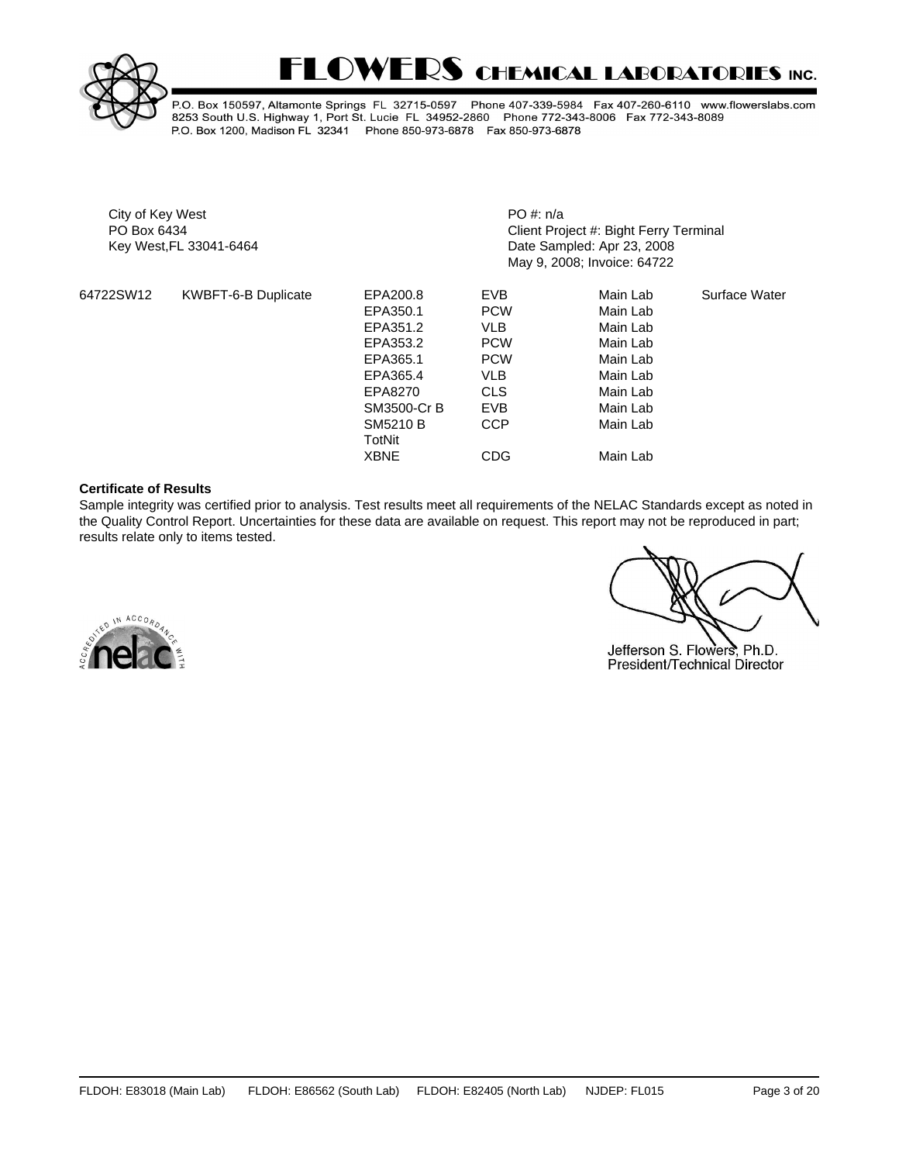



P.O. Box 150597, Altamonte Springs FL 32715-0597 Phone 407-339-5984 Fax 407-260-6110 www.flowerslabs.com 8253 South U.S. Highway 1, Port St. Lucie FL 34952-2860 Phone 772-343-8006 Fax 772-343-8089 P.O. Box 1200, Madison FL 32341 Phone 850-973-6878 Fax 850-973-6878

City of Key West **PO** #: n/a

PO Box 6434 **PO Box 6434** Client Project #: Bight Ferry Terminal Key West,FL 33041-6464 Date Sampled: Apr 23, 2008 May 9, 2008; Invoice: 64722

| 64722SW12 | KWBFT-6-B Duplicate | EPA200.8                  | <b>EVB</b> | Main Lab | Surface Water |
|-----------|---------------------|---------------------------|------------|----------|---------------|
|           |                     | EPA350.1                  | <b>PCW</b> | Main Lab |               |
|           |                     | EPA351.2                  | VLB        | Main Lab |               |
|           |                     | EPA353.2                  | <b>PCW</b> | Main Lab |               |
|           |                     | EPA365.1                  | <b>PCW</b> | Main Lab |               |
|           |                     | EPA365.4                  | <b>VLB</b> | Main Lab |               |
|           |                     | EPA8270                   | <b>CLS</b> | Main Lab |               |
|           |                     | SM3500-Cr B               | <b>EVB</b> | Main Lab |               |
|           |                     | <b>SM5210 B</b><br>TotNit | <b>CCP</b> | Main Lab |               |
|           |                     | <b>XBNE</b>               | <b>CDG</b> | Main Lab |               |

#### **Certificate of Results**

Sample integrity was certified prior to analysis. Test results meet all requirements of the NELAC Standards except as noted in the Quality Control Report. Uncertainties for these data are available on request. This report may not be reproduced in part; results relate only to items tested.

Jefferson S. Flowers, Ph.D. President/Technical Director

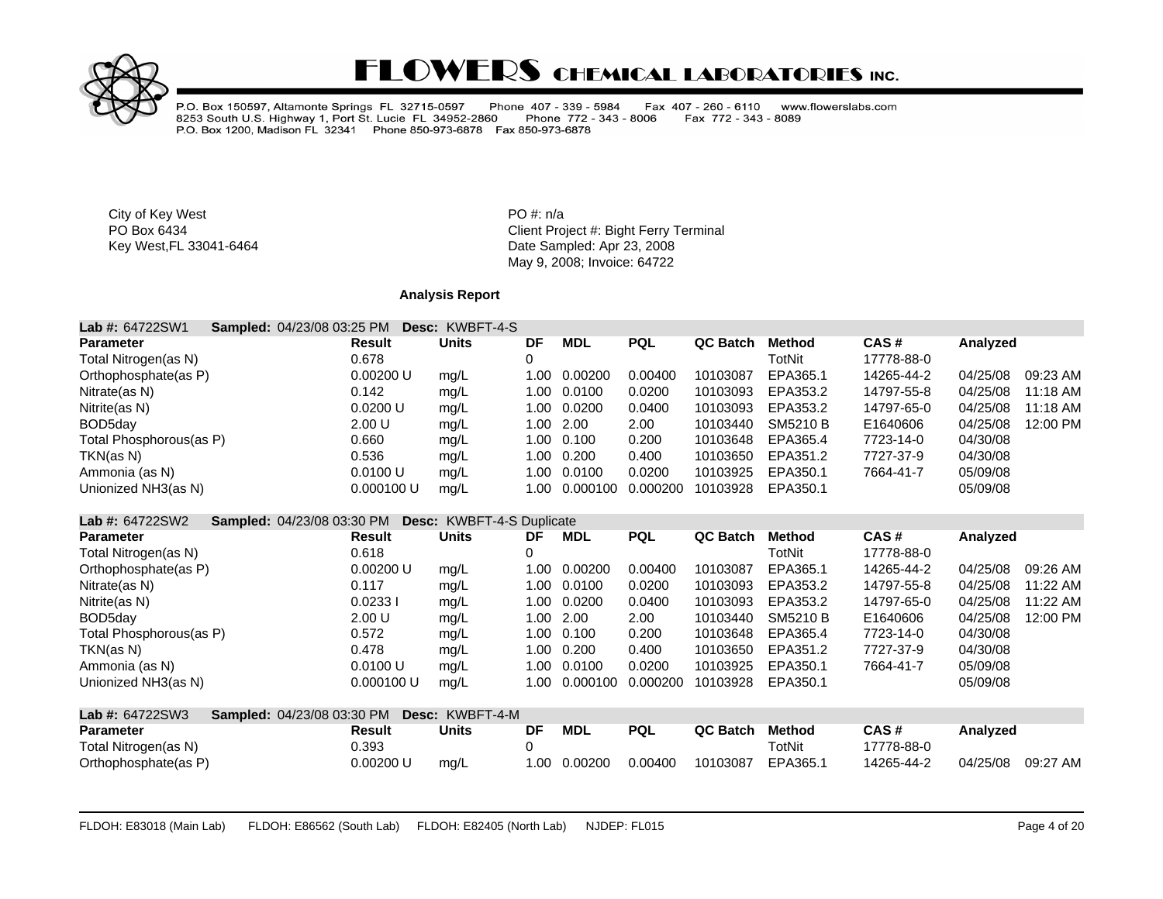

P.O. Box 150597, Altamonte Springs FL 32715-0597 Phone 407 - 339 - 5984<br>8253 South U.S. Highway 1, Port St. Lucie FL 34952-2860 Phone 772 - 343<br>P.O. Box 1200, Madison FL 32341 Phone 850-973-6878 Fax 850-973-6878 Fax 407 - 260 - 6110 www.flowerslabs.com Fax 772 - 343 - 8089 Phone 772 - 343 - 8006

City of Key West **PO** #: n/a

PO Box 6434<br>
Key West,FL 33041-6464<br>
Key West,FL 33041-6464<br>
Client Project #: Bight Ferry Terminal<br>
Date Sampled: Apr 23, 2008 Date Sampled: Apr 23, 2008 May 9, 2008; Invoice: 64722

### **Analysis Report**

| Lab #: 64722SW1<br>Sampled: 04/23/08 03:25 PM               |               | Desc: KWBFT-4-S                  |      |            |            |                 |                 |            |          |          |
|-------------------------------------------------------------|---------------|----------------------------------|------|------------|------------|-----------------|-----------------|------------|----------|----------|
| <b>Parameter</b>                                            | <b>Result</b> | <b>Units</b>                     | DF   | <b>MDL</b> | <b>PQL</b> | <b>QC Batch</b> | <b>Method</b>   | CAS#       | Analyzed |          |
| Total Nitrogen(as N)                                        | 0.678         |                                  | 0    |            |            |                 | <b>TotNit</b>   | 17778-88-0 |          |          |
| Orthophosphate(as P)                                        | 0.00200 U     | mg/L                             | 1.00 | 0.00200    | 0.00400    | 10103087        | EPA365.1        | 14265-44-2 | 04/25/08 | 09:23 AM |
| Nitrate(as N)                                               | 0.142         | mg/L                             | 1.00 | 0.0100     | 0.0200     | 10103093        | EPA353.2        | 14797-55-8 | 04/25/08 | 11:18 AM |
| Nitrite(as N)                                               | 0.0200 U      | mg/L                             | 1.00 | 0.0200     | 0.0400     | 10103093        | EPA353.2        | 14797-65-0 | 04/25/08 | 11:18 AM |
| BOD <sub>5day</sub>                                         | 2.00 U        | mg/L                             | 1.00 | 2.00       | 2.00       | 10103440        | <b>SM5210 B</b> | E1640606   | 04/25/08 | 12:00 PM |
| Total Phosphorous(as P)                                     | 0.660         | mg/L                             | 1.00 | 0.100      | 0.200      | 10103648        | EPA365.4        | 7723-14-0  | 04/30/08 |          |
| TKN(as N)                                                   | 0.536         | mg/L                             | 1.00 | 0.200      | 0.400      | 10103650        | EPA351.2        | 7727-37-9  | 04/30/08 |          |
| Ammonia (as N)                                              | 0.0100 U      | mg/L                             | 1.00 | 0.0100     | 0.0200     | 10103925        | EPA350.1        | 7664-41-7  | 05/09/08 |          |
| Unionized NH3(as N)                                         | 0.000100 U    | mg/L                             | 1.00 | 0.000100   | 0.000200   | 10103928        | EPA350.1        |            | 05/09/08 |          |
| <b>Lab #: 64722SW2</b><br><b>Sampled: 04/23/08 03:30 PM</b> |               | <b>Desc: KWBFT-4-S Duplicate</b> |      |            |            |                 |                 |            |          |          |
| <b>Parameter</b>                                            | <b>Result</b> | <b>Units</b>                     | DF   | <b>MDL</b> | <b>PQL</b> | QC Batch        | <b>Method</b>   | CAS#       | Analyzed |          |
| Total Nitrogen(as N)                                        | 0.618         |                                  | 0    |            |            |                 | <b>TotNit</b>   | 17778-88-0 |          |          |
| Orthophosphate(as P)                                        | 0.00200 U     | mg/L                             | 1.00 | 0.00200    | 0.00400    | 10103087        | EPA365.1        | 14265-44-2 | 04/25/08 | 09:26 AM |
| Nitrate(as N)                                               | 0.117         | mg/L                             | 1.00 | 0.0100     | 0.0200     | 10103093        | EPA353.2        | 14797-55-8 | 04/25/08 | 11:22 AM |
| Nitrite(as N)                                               | 0.02331       | mg/L                             | 1.00 | 0.0200     | 0.0400     | 10103093        | EPA353.2        | 14797-65-0 | 04/25/08 | 11:22 AM |
| BOD5day                                                     | 2.00 U        | mg/L                             | 1.00 | 2.00       | 2.00       | 10103440        | <b>SM5210 B</b> | E1640606   | 04/25/08 | 12:00 PM |
| Total Phosphorous(as P)                                     | 0.572         | mg/L                             | 1.00 | 0.100      | 0.200      | 10103648        | EPA365.4        | 7723-14-0  | 04/30/08 |          |
| TKN(as N)                                                   | 0.478         | mg/L                             | 1.00 | 0.200      | 0.400      | 10103650        | EPA351.2        | 7727-37-9  | 04/30/08 |          |
| Ammonia (as N)                                              | 0.0100 U      | mg/L                             | 1.00 | 0.0100     | 0.0200     | 10103925        | EPA350.1        | 7664-41-7  | 05/09/08 |          |
| Unionized NH3(as N)                                         | 0.000100 U    | mg/L                             | 1.00 | 0.000100   | 0.000200   | 10103928        | EPA350.1        |            | 05/09/08 |          |
| Lab #: 64722SW3<br>Sampled: 04/23/08 03:30 PM               |               | Desc: KWBFT-4-M                  |      |            |            |                 |                 |            |          |          |
| <b>Parameter</b>                                            | <b>Result</b> | <b>Units</b>                     | DF   | <b>MDL</b> | <b>PQL</b> | QC Batch        | <b>Method</b>   | CAS#       | Analyzed |          |
| Total Nitrogen(as N)                                        | 0.393         |                                  | 0    |            |            |                 | TotNit          | 17778-88-0 |          |          |
| Orthophosphate(as P)                                        | 0.00200 U     | mg/L                             | 1.00 | 0.00200    | 0.00400    | 10103087        | EPA365.1        | 14265-44-2 | 04/25/08 | 09:27 AM |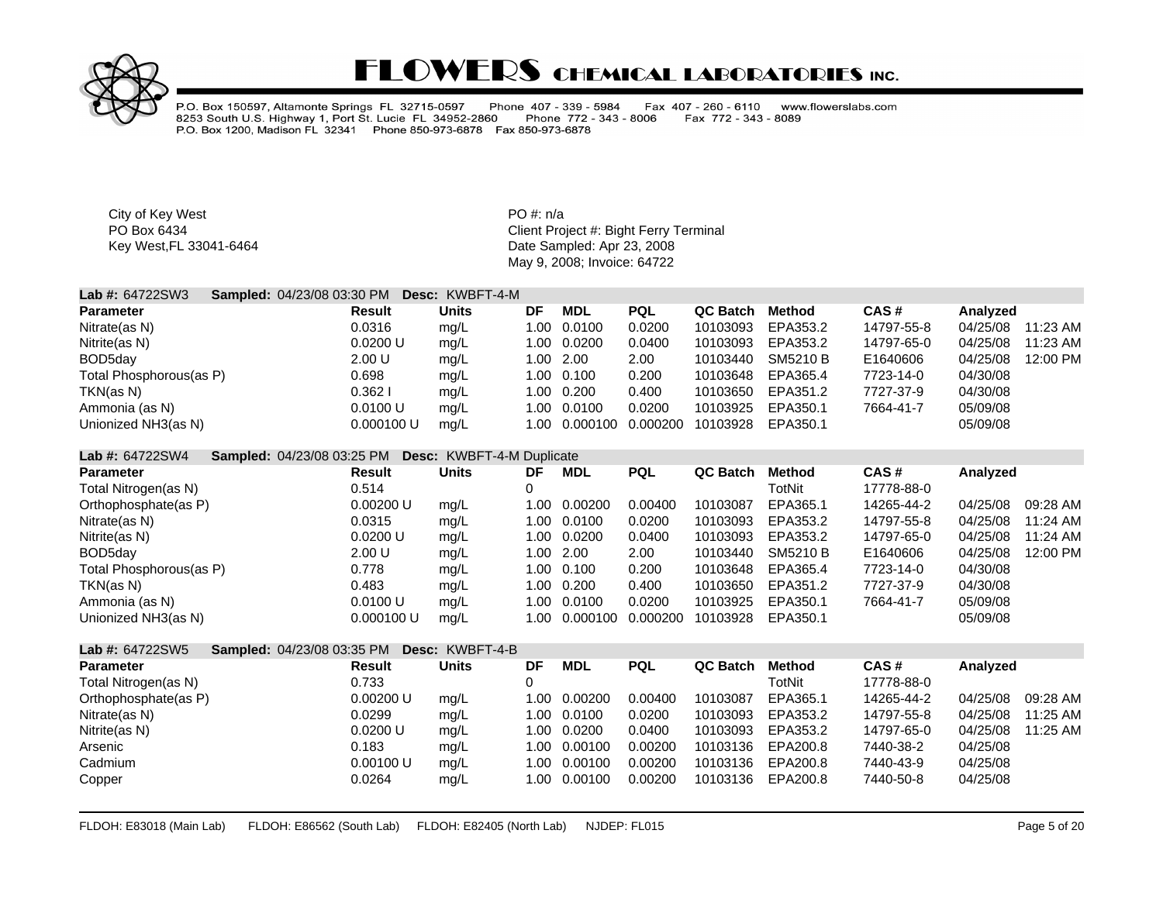

P.O. Box 150597, Altamonte Springs FL 32715-0597 Phone 407 - 339 - 5984 Fax 407 - 260 - 6110 www.flowerslabs.com 1.000 November 1, Port St. Lucie FL 34952-2860 Phone 772<br>P.O. Box 1200, Madison FL 32341 Phone 850-973-6878 Fax 850-973-6878 Fax 772 - 343 - 8089 Phone 772 - 343 - 8006

City of Key West **PO** #: n/a

PO Box 6434 **PO Box 6434** Client Project #: Bight Ferry Terminal Key West,FL 33041-6464 **Date Sampled: Apr 23, 2008** May 9, 2008; Invoice: 64722

| <b>Lab #: 64722SW3</b>  | <b>Sampled: 04/23/08 03:30 PM Desc: KWBFT-4-M</b> |       |     |               |            |          |          |            |          |          |
|-------------------------|---------------------------------------------------|-------|-----|---------------|------------|----------|----------|------------|----------|----------|
| Parameter               | Result                                            | Units | DF  | <b>MDL</b>    | <b>PQL</b> | QC Batch | Method   | CAS#       | Analyzed |          |
| Nitrate(as N)           | 0.0316                                            | mq/L  | 00. | 0.0100        | 0.0200     | 10103093 | EPA353.2 | 14797-55-8 | 04/25/08 | 11:23 AM |
| Nitrite(as N)           | 0.0200 U                                          | mg/L  |     | 1.00 0.0200   | 0.0400     | 10103093 | EPA353.2 | 14797-65-0 | 04/25/08 | 11:23 AM |
| BOD5day                 | 2.00 U                                            | mg/L  |     | 1.00 2.00     | 2.00       | 10103440 | SM5210 B | E1640606   | 04/25/08 | 12:00 PM |
| Total Phosphorous(as P) | 0.698                                             | mq/L  |     | 1.00 0.100    | 0.200      | 10103648 | EPA365.4 | 7723-14-0  | 04/30/08 |          |
| TKN(as N)               | 0.362 I                                           | mq/L  |     | 1.00 0.200    | 0.400      | 10103650 | EPA351.2 | 7727-37-9  | 04/30/08 |          |
| Ammonia (as N)          | 0.0100 U                                          | mg/L  |     | 1.00 0.0100   | 0.0200     | 10103925 | EPA350.1 | 7664-41-7  | 05/09/08 |          |
| Unionized NH3(as N)     | 0.000100 U                                        | mq/L  |     | 1.00 0.000100 | 0.000200   | 10103928 | EPA350.1 |            | 05/09/08 |          |
|                         |                                                   |       |     |               |            |          |          |            |          |          |

#### **Lab #:** 64722SW4 **Sampled:** 04/23/08 03:25 PM **Desc:** KWBFT-4-M Duplicate

| <b>Parameter</b>        | <b>Result</b> | <b>Units</b> | DF   | MDL       | <b>PQL</b> | QC Batch | Method   | CAS#       | Analyzed |          |
|-------------------------|---------------|--------------|------|-----------|------------|----------|----------|------------|----------|----------|
| Total Nitrogen(as N)    | 0.514         |              |      |           |            |          | TotNit   | 17778-88-0 |          |          |
| Orthophosphate(as P)    | 0.00200 U     | mq/L         | 1.00 | 0.00200   | 0.00400    | 10103087 | EPA365.1 | 14265-44-2 | 04/25/08 | 09:28 AM |
| Nitrate(as N)           | 0.0315        | mg/L         | 1.00 | 0.0100    | 0.0200     | 10103093 | EPA353.2 | 14797-55-8 | 04/25/08 | 11:24 AM |
| Nitrite(as N)           | 0.0200 U      | mg/L         | 1.00 | 0.0200    | 0.0400     | 10103093 | EPA353.2 | 14797-65-0 | 04/25/08 | 11:24 AM |
| BOD5day                 | 2.00 U        | mg/L         |      | 1.00 2.00 | 2.00       | 10103440 | SM5210 B | E1640606   | 04/25/08 | 12:00 PM |
| Total Phosphorous(as P) | 0.778         | mq/L         | 1.00 | 0.100     | 0.200      | 10103648 | EPA365.4 | 7723-14-0  | 04/30/08 |          |
| TKN(as N)               | 0.483         | mq/L         | 1.00 | 0.200     | 0.400      | 10103650 | EPA351.2 | 7727-37-9  | 04/30/08 |          |
| Ammonia (as N)          | 0.0100 U      | mq/L         | 1.00 | 0.0100    | 0.0200     | 10103925 | EPA350.1 | 7664-41-7  | 05/09/08 |          |
| Unionized NH3(as N)     | 0.000100 U    | ma/L         | 1.00 | 0.000100  | 0.000200   | 10103928 | EPA350.1 |            | 05/09/08 |          |

| <b>Lab #: <math>64722SW5</math></b> | <b>Sampled: 04/23/08 03:35 PM</b> |           | <b>Desc: KWBFT-4-B</b> |             |            |            |          |          |            |          |          |
|-------------------------------------|-----------------------------------|-----------|------------------------|-------------|------------|------------|----------|----------|------------|----------|----------|
| <b>Parameter</b>                    | <b>Result</b>                     |           | <b>Units</b>           | DF          | <b>MDL</b> | <b>PQL</b> | QC Batch | Method   | CAS#       | Analyzed |          |
| Total Nitrogen(as N)                | 0.733                             |           |                        |             |            |            |          | TotNit   | 17778-88-0 |          |          |
| Orthophosphate(as P)                |                                   | 0.00200 U | mq/L                   | 00.1        | 0.00200    | 0.00400    | 10103087 | EPA365.1 | 14265-44-2 | 04/25/08 | 09:28 AM |
| Nitrate(as N)                       | 0.0299                            |           | mg/L                   | .00         | 0.0100     | 0.0200     | 10103093 | EPA353.2 | 14797-55-8 | 04/25/08 | 11:25 AM |
| Nitrite(as N)                       | 0.0200 U                          |           | mq/L                   | .00         | 0.0200     | 0.0400     | 10103093 | EPA353.2 | 14797-65-0 | 04/25/08 | 11:25 AM |
| Arsenic                             | 0.183                             |           | mg/L                   | $.00 \cdot$ | 0.00100    | 0.00200    | 10103136 | EPA200.8 | 7440-38-2  | 04/25/08 |          |
| Cadmium                             |                                   | 0.00100 U | mq/L                   | 00.1        | 0.00100    | 0.00200    | 10103136 | EPA200.8 | 7440-43-9  | 04/25/08 |          |
| Copper                              | 0.0264                            |           | mg/L                   | 00.1        | 0.00100    | 0.00200    | 10103136 | EPA200.8 | 7440-50-8  | 04/25/08 |          |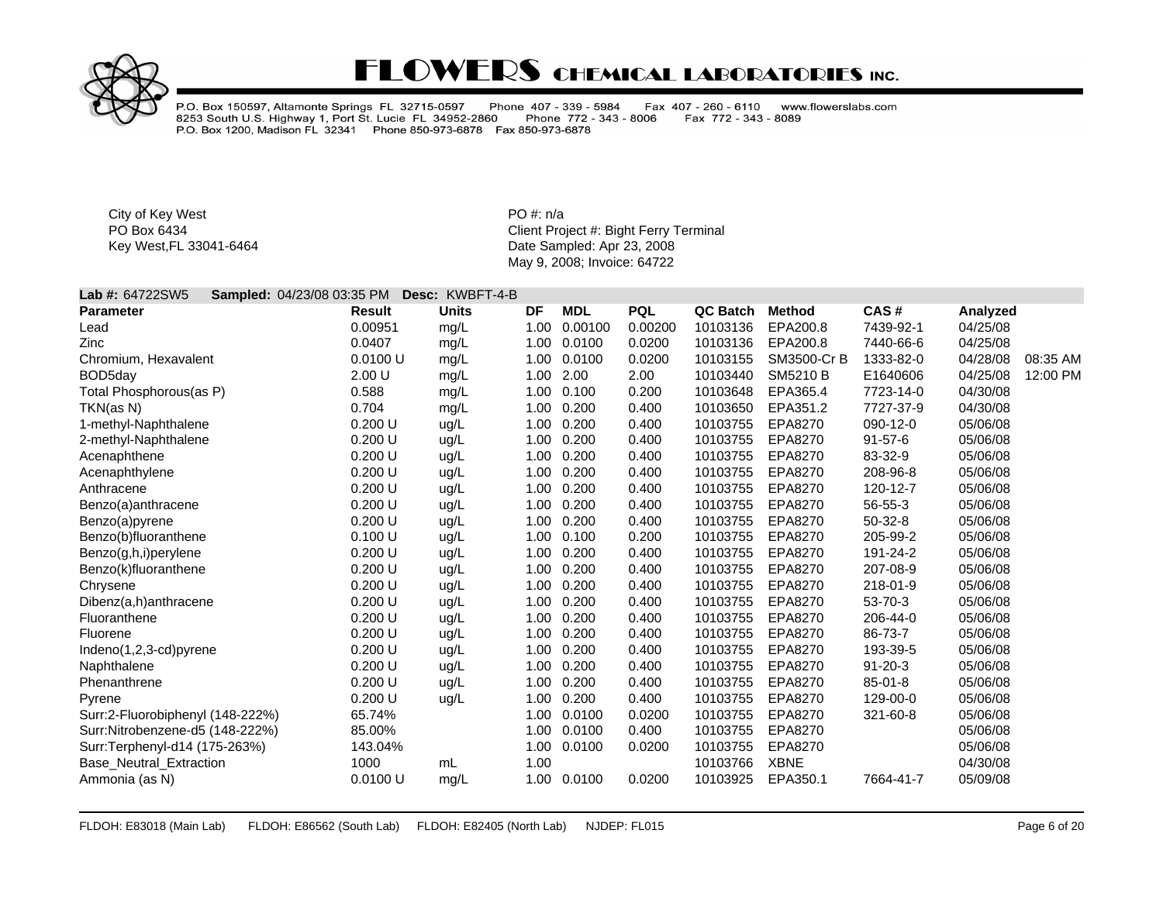

P.O. Box 150597, Altamonte Springs FL 32715-0597 Phone 407 - 339 - 5984<br>8253 South U.S. Highway 1, Port St. Lucie FL 34952-2860 Phone 772 - 343<br>P.O. Box 1200, Madison FL 32341 Phone 850-973-6878 Fax 850-973-6878 Fax 407 - 260 - 6110 www.flowerslabs.com Phone 772 - 343 - 8006 Fax 772 - 343 - 8089

City of Key West **PO** #: n/a

PO Box 6434 **PO Box 6434** Client Project #: Bight Ferry Terminal Key West,FL 33041-6464 **Date Sampled: Apr 23, 2008** May 9, 2008; Invoice: 64722

### **Lab #:** 64722SW5 **Sampled:** 04/23/08 03:35 PM **Desc:** KWBFT-4-B

| <b>Parameter</b>                 | <b>Result</b> | <b>Units</b> | DF   | <b>MDL</b> | <b>PQL</b> | <b>QC Batch</b> | <b>Method</b>   | CAS#          | Analyzed |          |
|----------------------------------|---------------|--------------|------|------------|------------|-----------------|-----------------|---------------|----------|----------|
| Lead                             | 0.00951       | mg/L         | 1.00 | 0.00100    | 0.00200    | 10103136        | EPA200.8        | 7439-92-1     | 04/25/08 |          |
| Zinc                             | 0.0407        | mg/L         | 1.00 | 0.0100     | 0.0200     | 10103136        | EPA200.8        | 7440-66-6     | 04/25/08 |          |
| Chromium, Hexavalent             | 0.0100 U      | mg/L         | 1.00 | 0.0100     | 0.0200     | 10103155        | SM3500-Cr B     | 1333-82-0     | 04/28/08 | 08:35 AM |
| BOD5day                          | 2.00 U        | mg/L         | 1.00 | 2.00       | 2.00       | 10103440        | <b>SM5210 B</b> | E1640606      | 04/25/08 | 12:00 PM |
| Total Phosphorous(as P)          | 0.588         | mg/L         |      | 1.00 0.100 | 0.200      | 10103648        | EPA365.4        | 7723-14-0     | 04/30/08 |          |
| TKN(as N)                        | 0.704         | mg/L         | 1.00 | 0.200      | 0.400      | 10103650        | EPA351.2        | 7727-37-9     | 04/30/08 |          |
| 1-methyl-Naphthalene             | 0.200 U       | ug/L         | 1.00 | 0.200      | 0.400      | 10103755        | EPA8270         | 090-12-0      | 05/06/08 |          |
| 2-methyl-Naphthalene             | 0.200 U       | ug/L         | 1.00 | 0.200      | 0.400      | 10103755        | EPA8270         | $91 - 57 - 6$ | 05/06/08 |          |
| Acenaphthene                     | 0.200 U       | ug/L         | 1.00 | 0.200      | 0.400      | 10103755        | EPA8270         | 83-32-9       | 05/06/08 |          |
| Acenaphthylene                   | 0.200 U       | ug/L         | 1.00 | 0.200      | 0.400      | 10103755        | EPA8270         | 208-96-8      | 05/06/08 |          |
| Anthracene                       | 0.200 U       | ug/L         | 1.00 | 0.200      | 0.400      | 10103755        | EPA8270         | 120-12-7      | 05/06/08 |          |
| Benzo(a)anthracene               | 0.200 U       | ug/L         | 1.00 | 0.200      | 0.400      | 10103755        | EPA8270         | 56-55-3       | 05/06/08 |          |
| Benzo(a)pyrene                   | 0.200 U       | ug/L         | 1.00 | 0.200      | 0.400      | 10103755        | EPA8270         | 50-32-8       | 05/06/08 |          |
| Benzo(b)fluoranthene             | 0.100 U       | ug/L         | 1.00 | 0.100      | 0.200      | 10103755        | EPA8270         | 205-99-2      | 05/06/08 |          |
| Benzo(g,h,i)perylene             | 0.200 U       | ug/L         | 1.00 | 0.200      | 0.400      | 10103755        | EPA8270         | 191-24-2      | 05/06/08 |          |
| Benzo(k)fluoranthene             | 0.200 U       | ug/L         | 1.00 | 0.200      | 0.400      | 10103755        | EPA8270         | 207-08-9      | 05/06/08 |          |
| Chrysene                         | 0.200 U       | ug/L         | 1.00 | 0.200      | 0.400      | 10103755        | EPA8270         | 218-01-9      | 05/06/08 |          |
| Dibenz(a,h)anthracene            | 0.200 U       | ug/L         | 1.00 | 0.200      | 0.400      | 10103755        | EPA8270         | 53-70-3       | 05/06/08 |          |
| Fluoranthene                     | 0.200 U       | ug/L         | 1.00 | 0.200      | 0.400      | 10103755        | EPA8270         | 206-44-0      | 05/06/08 |          |
| Fluorene                         | 0.200 U       | ug/L         | 1.00 | 0.200      | 0.400      | 10103755        | EPA8270         | 86-73-7       | 05/06/08 |          |
| $Indeno(1,2,3-cd)pyrene$         | 0.200 U       | ug/L         | 1.00 | 0.200      | 0.400      | 10103755        | EPA8270         | 193-39-5      | 05/06/08 |          |
| Naphthalene                      | 0.200 U       | ug/L         | 1.00 | 0.200      | 0.400      | 10103755        | EPA8270         | $91 - 20 - 3$ | 05/06/08 |          |
| Phenanthrene                     | 0.200 U       | ug/L         | 1.00 | 0.200      | 0.400      | 10103755        | EPA8270         | $85 - 01 - 8$ | 05/06/08 |          |
| Pyrene                           | 0.200 U       | uq/L         | 1.00 | 0.200      | 0.400      | 10103755        | EPA8270         | 129-00-0      | 05/06/08 |          |
| Surr:2-Fluorobiphenyl (148-222%) | 65.74%        |              | 1.00 | 0.0100     | 0.0200     | 10103755        | EPA8270         | 321-60-8      | 05/06/08 |          |
| Surr:Nitrobenzene-d5 (148-222%)  | 85.00%        |              | 1.00 | 0.0100     | 0.400      | 10103755        | EPA8270         |               | 05/06/08 |          |
| Surr:Terphenyl-d14 (175-263%)    | 143.04%       |              | 1.00 | 0.0100     | 0.0200     | 10103755        | EPA8270         |               | 05/06/08 |          |
| <b>Base Neutral Extraction</b>   | 1000          | mL           | 1.00 |            |            | 10103766        | <b>XBNE</b>     |               | 04/30/08 |          |
| Ammonia (as N)                   | 0.0100 U      | mg/L         | 1.00 | 0.0100     | 0.0200     | 10103925        | EPA350.1        | 7664-41-7     | 05/09/08 |          |
|                                  |               |              |      |            |            |                 |                 |               |          |          |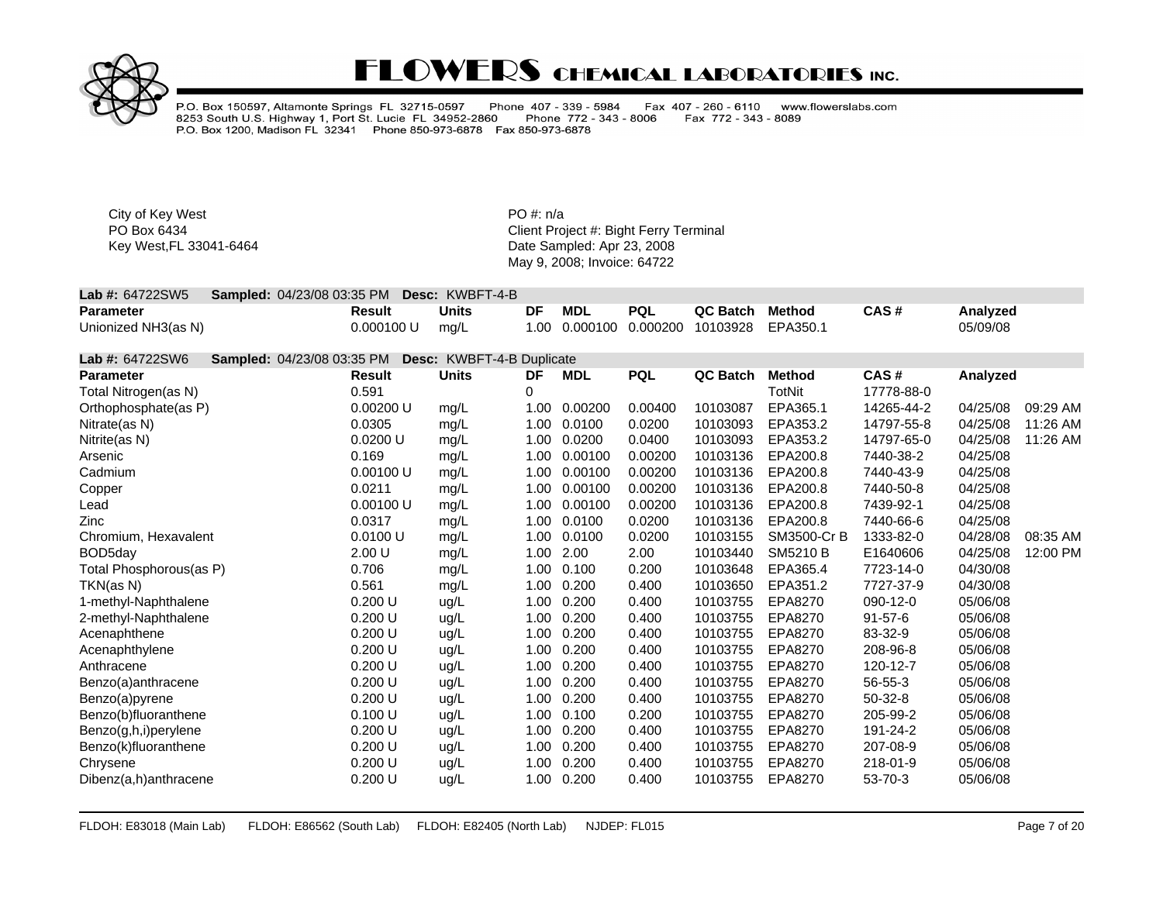

P.O. Box 150597, Altamonte Springs FL 32715-0597 Phone 407 - 339 - 5984<br>8253 South U.S. Highway 1, Port St. Lucie FL 34952-2860 Phone 772 - 343<br>P.O. Box 1200, Madison FL 32341 Phone 850-973-6878 Fax 850-973-6878 Fax 407 - 260 - 6110 www.flowerslabs.com Fax 772 - 343 - 8089 Phone 772 - 343 - 8006

City of Key West **PO** #: n/a

| <b>Lab #: 64722SW5 Sampled: 04/23/08 03:35 PM Desc: KWBFT-4-B</b> |            |       |    |     |            |                                              |      |          |
|-------------------------------------------------------------------|------------|-------|----|-----|------------|----------------------------------------------|------|----------|
| Parameter                                                         | Result     | Units | DF | MDL | <b>PQL</b> | QC Batch Method                              | CAS# | Analyzed |
| Unionized NH3(as N)                                               | 0.000100 U | mg/L  |    |     |            | 1.00  0.000100  0.000200  10103928  EPA350.1 |      | 05/09/08 |

| Lab #: 64722SW6<br>Sampled: 04/23/08 03:35 PM |               | Desc: KWBFT-4-B Duplicate |      |            |            |          |                 |               |          |          |
|-----------------------------------------------|---------------|---------------------------|------|------------|------------|----------|-----------------|---------------|----------|----------|
| <b>Parameter</b>                              | <b>Result</b> | <b>Units</b>              | DF   | <b>MDL</b> | <b>PQL</b> | QC Batch | <b>Method</b>   | CAS#          | Analyzed |          |
| Total Nitrogen(as N)                          | 0.591         |                           | 0    |            |            |          | TotNit          | 17778-88-0    |          |          |
| Orthophosphate(as P)                          | 0.00200 U     | mg/L                      | 1.00 | 0.00200    | 0.00400    | 10103087 | EPA365.1        | 14265-44-2    | 04/25/08 | 09:29 AM |
| Nitrate(as N)                                 | 0.0305        | mg/L                      | 1.00 | 0.0100     | 0.0200     | 10103093 | EPA353.2        | 14797-55-8    | 04/25/08 | 11:26 AM |
| Nitrite(as N)                                 | 0.0200 U      | mg/L                      | 1.00 | 0.0200     | 0.0400     | 10103093 | EPA353.2        | 14797-65-0    | 04/25/08 | 11:26 AM |
| Arsenic                                       | 0.169         | mg/L                      | 1.00 | 0.00100    | 0.00200    | 10103136 | EPA200.8        | 7440-38-2     | 04/25/08 |          |
| Cadmium                                       | 0.00100 U     | mg/L                      | 1.00 | 0.00100    | 0.00200    | 10103136 | EPA200.8        | 7440-43-9     | 04/25/08 |          |
| Copper                                        | 0.0211        | mg/L                      | 1.00 | 0.00100    | 0.00200    | 10103136 | EPA200.8        | 7440-50-8     | 04/25/08 |          |
| Lead                                          | 0.00100 U     | mg/L                      | 1.00 | 0.00100    | 0.00200    | 10103136 | EPA200.8        | 7439-92-1     | 04/25/08 |          |
| Zinc                                          | 0.0317        | mg/L                      | 1.00 | 0.0100     | 0.0200     | 10103136 | EPA200.8        | 7440-66-6     | 04/25/08 |          |
| Chromium, Hexavalent                          | 0.0100 U      | mg/L                      | 1.00 | 0.0100     | 0.0200     | 10103155 | SM3500-Cr B     | 1333-82-0     | 04/28/08 | 08:35 AM |
| BOD <sub>5day</sub>                           | 2.00 U        | mg/L                      | 1.00 | 2.00       | 2.00       | 10103440 | <b>SM5210 B</b> | E1640606      | 04/25/08 | 12:00 PM |
| Total Phosphorous(as P)                       | 0.706         | mg/L                      | 1.00 | 0.100      | 0.200      | 10103648 | EPA365.4        | 7723-14-0     | 04/30/08 |          |
| TKN(as N)                                     | 0.561         | mg/L                      | 1.00 | 0.200      | 0.400      | 10103650 | EPA351.2        | 7727-37-9     | 04/30/08 |          |
| 1-methyl-Naphthalene                          | 0.200 U       | ug/L                      | 1.00 | 0.200      | 0.400      | 10103755 | EPA8270         | 090-12-0      | 05/06/08 |          |
| 2-methyl-Naphthalene                          | 0.200 U       | ug/L                      | 1.00 | 0.200      | 0.400      | 10103755 | EPA8270         | $91 - 57 - 6$ | 05/06/08 |          |
| Acenaphthene                                  | 0.200 U       | ug/L                      | 1.00 | 0.200      | 0.400      | 10103755 | EPA8270         | 83-32-9       | 05/06/08 |          |
| Acenaphthylene                                | 0.200 U       | ug/L                      | 1.00 | 0.200      | 0.400      | 10103755 | EPA8270         | 208-96-8      | 05/06/08 |          |
| Anthracene                                    | 0.200 U       | ug/L                      | 1.00 | 0.200      | 0.400      | 10103755 | EPA8270         | 120-12-7      | 05/06/08 |          |
| Benzo(a)anthracene                            | 0.200 U       | ug/L                      | 1.00 | 0.200      | 0.400      | 10103755 | EPA8270         | 56-55-3       | 05/06/08 |          |
| Benzo(a)pyrene                                | 0.200 U       | ug/L                      | 1.00 | 0.200      | 0.400      | 10103755 | EPA8270         | $50-32-8$     | 05/06/08 |          |
| Benzo(b)fluoranthene                          | 0.100 U       | ug/L                      | 1.00 | 0.100      | 0.200      | 10103755 | EPA8270         | 205-99-2      | 05/06/08 |          |
| Benzo(g,h,i)perylene                          | 0.200 U       | ug/L                      | 1.00 | 0.200      | 0.400      | 10103755 | EPA8270         | 191-24-2      | 05/06/08 |          |
| Benzo(k)fluoranthene                          | 0.200 U       | ug/L                      | 1.00 | 0.200      | 0.400      | 10103755 | EPA8270         | 207-08-9      | 05/06/08 |          |
| Chrysene                                      | 0.200 U       | ug/L                      | 1.00 | 0.200      | 0.400      | 10103755 | EPA8270         | 218-01-9      | 05/06/08 |          |
| Dibenz(a,h)anthracene                         | 0.200 U       | ug/L                      | 1.00 | 0.200      | 0.400      | 10103755 | EPA8270         | 53-70-3       | 05/06/08 |          |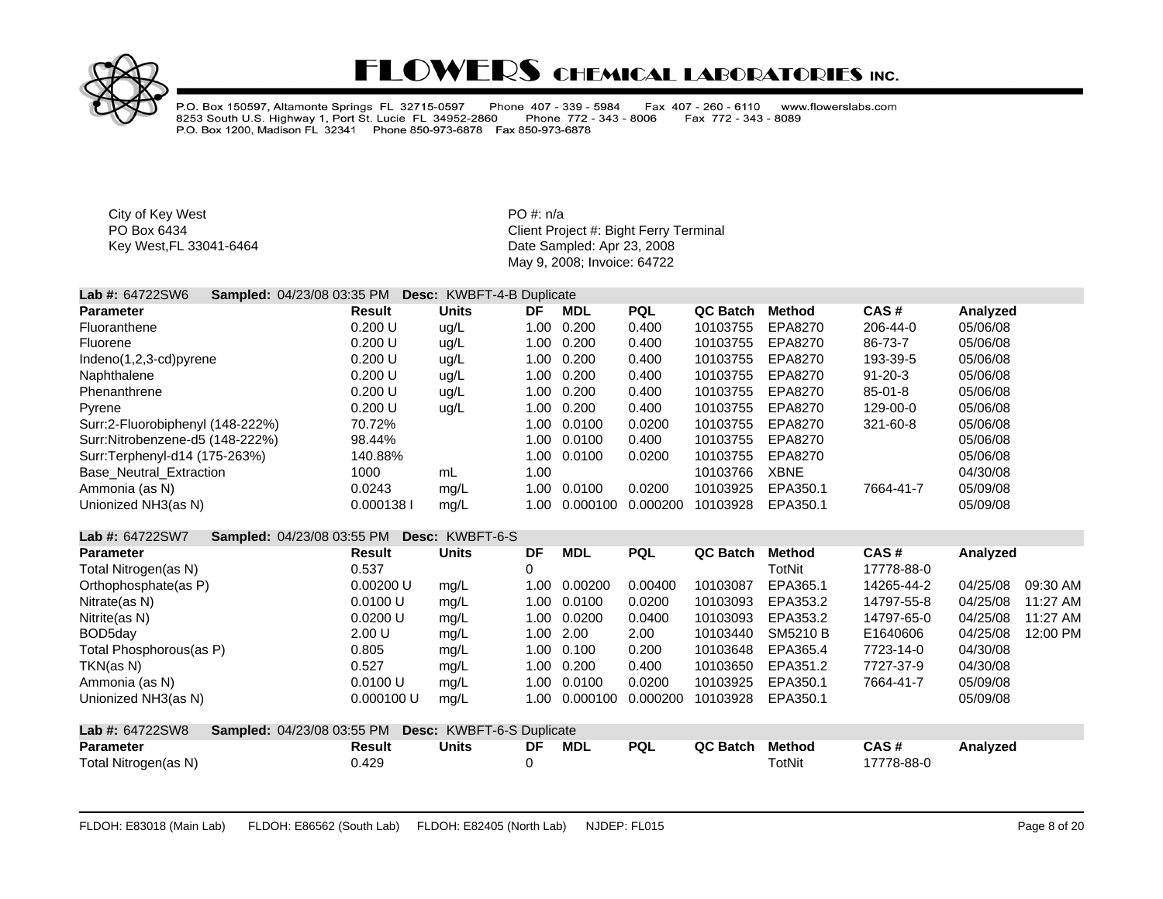

P.O. Box 150597, Altamonte Springs FL 32715-0597 Phone 407 - 339 - 5984<br>8253 South U.S. Highway 1, Port St. Lucie FL 34952-2860 Phone 772 - 343<br>P.O. Box 1200, Madison FL 32341 Phone 850-973-6878 Fax 850-973-6878 Fax 407 - 260 - 6110 www.flowerslabs.com Phone 772 - 343 - 8006 Fax 772 - 343 - 8089

City of Key West **PO** #: n/a

| <b>Lab #: 64722SW6</b>           | <b>Sampled: 04/23/08 03:35 PM</b> | <b>Desc:</b> KWBFT-4-B Duplicate |      |            |            |          |             |               |          |  |
|----------------------------------|-----------------------------------|----------------------------------|------|------------|------------|----------|-------------|---------------|----------|--|
| <b>Parameter</b>                 | <b>Result</b>                     | <b>Units</b>                     | DF   | <b>MDL</b> | <b>PQL</b> | QC Batch | Method      | CAS#          | Analyzed |  |
| Fluoranthene                     | 0.200 U                           | ug/L                             | 1.00 | 0.200      | 0.400      | 10103755 | EPA8270     | 206-44-0      | 05/06/08 |  |
| Fluorene                         | 0.200 U                           | ug/L                             | 1.00 | 0.200      | 0.400      | 10103755 | EPA8270     | 86-73-7       | 05/06/08 |  |
| $Indeno(1,2,3-cd)pyrene$         | 0.200 U                           | ug/L                             | 1.00 | 0.200      | 0.400      | 10103755 | EPA8270     | 193-39-5      | 05/06/08 |  |
| Naphthalene                      | 0.200 U                           | ug/L                             | 1.00 | 0.200      | 0.400      | 10103755 | EPA8270     | $91 - 20 - 3$ | 05/06/08 |  |
| Phenanthrene                     | 0.200 U                           | ug/L                             | 1.00 | 0.200      | 0.400      | 10103755 | EPA8270     | $85 - 01 - 8$ | 05/06/08 |  |
| Pyrene                           | 0.200 U                           | uq/L                             | 1.00 | 0.200      | 0.400      | 10103755 | EPA8270     | 129-00-0      | 05/06/08 |  |
| Surr:2-Fluorobiphenyl (148-222%) | 70.72%                            |                                  | 1.00 | 0.0100     | 0.0200     | 10103755 | EPA8270     | 321-60-8      | 05/06/08 |  |
| Surr:Nitrobenzene-d5 (148-222%)  | 98.44%                            |                                  | 1.00 | 0.0100     | 0.400      | 10103755 | EPA8270     |               | 05/06/08 |  |
| Surr:Terphenyl-d14 (175-263%)    | 140.88%                           |                                  | 1.00 | 0.0100     | 0.0200     | 10103755 | EPA8270     |               | 05/06/08 |  |
| <b>Base Neutral Extraction</b>   | 1000                              | mL                               | 1.00 |            |            | 10103766 | <b>XBNE</b> |               | 04/30/08 |  |
| Ammonia (as N)                   | 0.0243                            | mg/L                             | 1.00 | 0.0100     | 0.0200     | 10103925 | EPA350.1    | 7664-41-7     | 05/09/08 |  |
| Unionized NH3(as N)              | 0.0001381                         | mg/L                             | 1.00 | 0.000100   | 0.000200   | 10103928 | EPA350.1    |               | 05/09/08 |  |
|                                  |                                   |                                  |      |            |            |          |             |               |          |  |

| Lab #: 64722SW7         | <b>Sampled: 04/23/08 03:55 PM</b>                    | Desc: KWBFT-6-S |      |            |            |                 |               |            |          |          |
|-------------------------|------------------------------------------------------|-----------------|------|------------|------------|-----------------|---------------|------------|----------|----------|
| <b>Parameter</b>        | <b>Result</b>                                        | <b>Units</b>    | DF   | <b>MDL</b> | <b>PQL</b> | <b>QC Batch</b> | <b>Method</b> | CAS#       | Analyzed |          |
| Total Nitrogen(as N)    | 0.537                                                |                 | 0    |            |            |                 | TotNit        | 17778-88-0 |          |          |
| Orthophosphate(as P)    | 0.00200 U                                            | mg/L            | 1.00 | 0.00200    | 0.00400    | 10103087        | EPA365.1      | 14265-44-2 | 04/25/08 | 09:30 AM |
| Nitrate(as N)           | 0.0100 U                                             | mg/L            | 1.00 | 0.0100     | 0.0200     | 10103093        | EPA353.2      | 14797-55-8 | 04/25/08 | 11:27 AM |
| Nitrite(as N)           | 0.0200 U                                             | mg/L            | 1.00 | 0.0200     | 0.0400     | 10103093        | EPA353.2      | 14797-65-0 | 04/25/08 | 11:27 AM |
| BOD5day                 | 2.00 U                                               | mg/L            | 1.00 | 2.00       | 2.00       | 10103440        | SM5210 B      | E1640606   | 04/25/08 | 12:00 PM |
| Total Phosphorous(as P) | 0.805                                                | mg/L            | 1.00 | 0.100      | 0.200      | 10103648        | EPA365.4      | 7723-14-0  | 04/30/08 |          |
| TKN(as N)               | 0.527                                                | mg/L            | 1.00 | 0.200      | 0.400      | 10103650        | EPA351.2      | 7727-37-9  | 04/30/08 |          |
| Ammonia (as N)          | 0.0100 U                                             | mg/L            | 1.00 | 0.0100     | 0.0200     | 10103925        | EPA350.1      | 7664-41-7  | 05/09/08 |          |
| Unionized NH3(as N)     | 0.000100 U                                           | mg/L            | 1.00 | 0.000100   | 0.000200   | 10103928        | EPA350.1      |            | 05/09/08 |          |
| <b>Lab #: 64722SW8</b>  | Sampled: 04/23/08 03:55 PM Desc: KWBFT-6-S Duplicate |                 |      |            |            |                 |               |            |          |          |
| <b>Parameter</b>        | Result                                               | <b>Units</b>    | DF   | <b>MDL</b> | <b>PQL</b> | QC Batch        | <b>Method</b> | CAS#       | Analyzed |          |
| Total Nitrogen(as N)    | 0.429                                                |                 | 0    |            |            |                 | TotNit        | 17778-88-0 |          |          |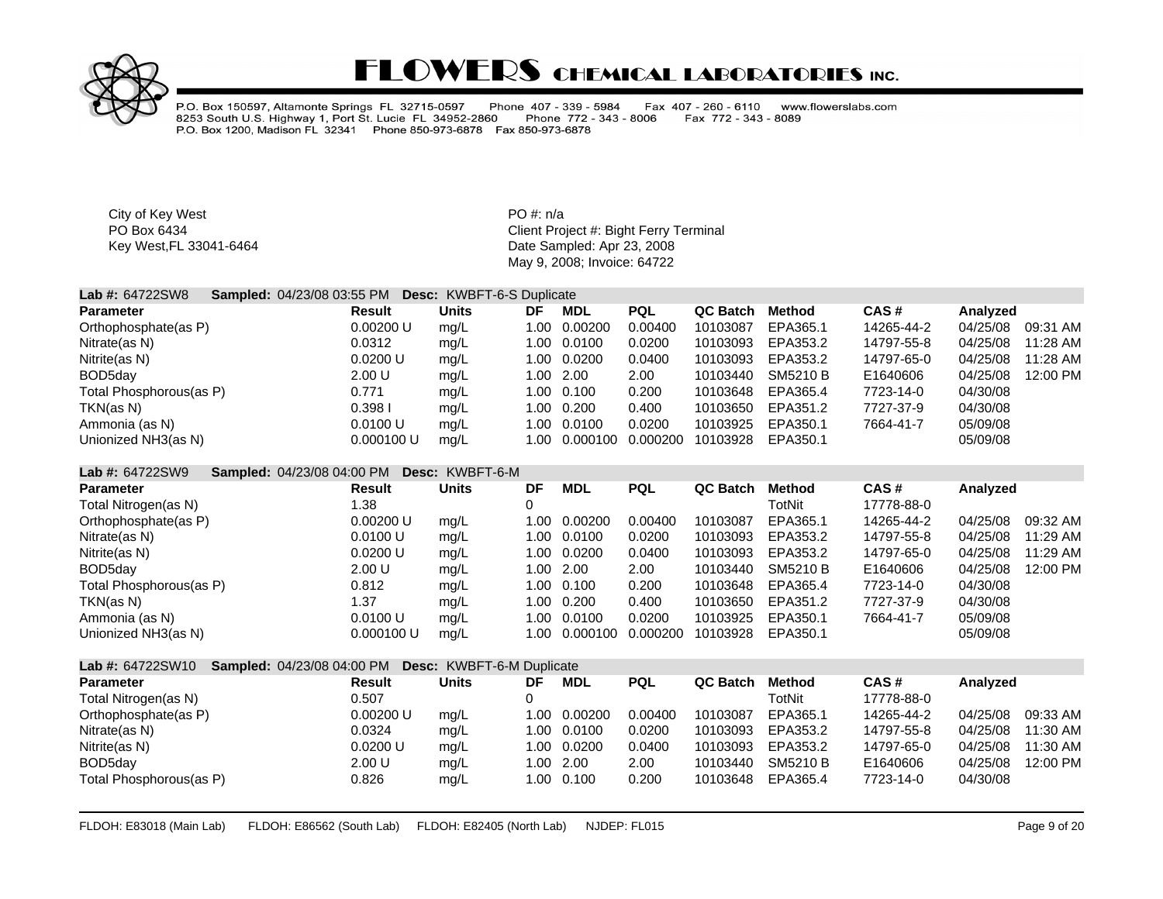

P.O. Box 150597, Altamonte Springs FL 32715-0597 Phone 407 - 339 - 5984<br>8253 South U.S. Highway 1, Port St. Lucie FL 34952-2860 Phone 772 - 343 -Fax 407 - 260 - 6110 www.flowerslabs.com Phone 772 - 343 - 8006 Fax 772 - 343 - 8089 P.O. Box 1200, Madison FL 32341 Phone 850-973-6878 Fax 850-973-6878

City of Key West **PO** #: n/a

PO Box 6434<br>
Key West,FL 33041-6464<br>
Key West,FL 33041-6464<br>
Client Project #: Bight Ferry Terminal<br>
Date Sampled: Apr 23, 2008 Date Sampled: Apr 23, 2008 May 9, 2008; Invoice: 64722

| <b>Lab #: 64722SW8</b>  | <b>Sampled: 04/23/08 03:55 PM</b> |            | <b>Desc: KWBFT-6-S Duplicate</b> |           |             |            |          |          |            |          |          |
|-------------------------|-----------------------------------|------------|----------------------------------|-----------|-------------|------------|----------|----------|------------|----------|----------|
| <b>Parameter</b>        |                                   | Result     | Units                            | DF        | MDL         | <b>PQL</b> | QC Batch | Method   | CAS#       | Analyzed |          |
| Orthophosphate(as P)    |                                   | 0.00200 U  | mq/L                             | 1.00      | 0.00200     | 0.00400    | 10103087 | EPA365.1 | 14265-44-2 | 04/25/08 | 09:31 AM |
| Nitrate(as N)           |                                   | 0.0312     | mq/L                             |           | 1.00 0.0100 | 0.0200     | 10103093 | EPA353.2 | 14797-55-8 | 04/25/08 | 11:28 AM |
| Nitrite(as N)           |                                   | 0.0200 U   | mq/L                             |           | 1.00 0.0200 | 0.0400     | 10103093 | EPA353.2 | 14797-65-0 | 04/25/08 | 11:28 AM |
| BOD5day                 |                                   | 2.00 U     | mq/L                             | 1.00 2.00 |             | 2.00       | 10103440 | SM5210 B | E1640606   | 04/25/08 | 12:00 PM |
| Total Phosphorous(as P) |                                   | 0.771      | mq/L                             |           | 1.00 0.100  | 0.200      | 10103648 | EPA365.4 | 7723-14-0  | 04/30/08 |          |
| TKN(as N)               |                                   | 0.398 I    | mq/L                             | 1.00      | 0.200       | 0.400      | 10103650 | EPA351.2 | 7727-37-9  | 04/30/08 |          |
| Ammonia (as N)          |                                   | 0.0100 U   | mq/L                             | 1.00      | 0.0100      | 0.0200     | 10103925 | EPA350.1 | 7664-41-7  | 05/09/08 |          |
| Unionized NH3(as N)     |                                   | 0.000100 U | mq/L                             | 1.00      | 0.000100    | 0.000200   | 10103928 | EPA350.1 |            | 05/09/08 |          |

#### **Lab #:** 64722SW9 **Sampled:** 04/23/08 04:00 PM **Desc:** KWBFT-6-M

| <b>Parameter</b>        | Result     | <b>Units</b> | DF        | MDL         | <b>PQL</b> | QC Batch | Method   | CAS#       | Analyzed |          |
|-------------------------|------------|--------------|-----------|-------------|------------|----------|----------|------------|----------|----------|
| Total Nitrogen(as N)    | .38        |              |           |             |            |          | TotNit   | 17778-88-0 |          |          |
| Orthophosphate(as P)    | 0.00200 U  | mq/L         | 1.00      | 0.00200     | 0.00400    | 10103087 | EPA365.1 | 14265-44-2 | 04/25/08 | 09:32 AM |
| Nitrate(as N)           | 0.0100 U   | mg/L         | 1.00      | 0.0100      | 0.0200     | 10103093 | EPA353.2 | 14797-55-8 | 04/25/08 | 11:29 AM |
| Nitrite(as N)           | 0.0200 U   | mg/L         |           | 1.00 0.0200 | 0.0400     | 10103093 | EPA353.2 | 14797-65-0 | 04/25/08 | 11:29 AM |
| BOD5day                 | 2.00 U     | mg/L         | 1.00 2.00 |             | 2.00       | 10103440 | SM5210 B | E1640606   | 04/25/08 | 12:00 PM |
| Total Phosphorous(as P) | 0.812      | mg/L         | 1.00      | 0.100       | 0.200      | 10103648 | EPA365.4 | 7723-14-0  | 04/30/08 |          |
| TKN(as N)               | .37        | mq/L         | 1.00      | 0.200       | 0.400      | 10103650 | EPA351.2 | 7727-37-9  | 04/30/08 |          |
| Ammonia (as N)          | 0.0100 U   | mq/L         | 1.00      | 0.0100      | 0.0200     | 10103925 | EPA350.1 | 7664-41-7  | 05/09/08 |          |
| Unionized NH3(as N)     | 0.000100 U | mq/L         | 1.00      | 0.000100    | 0.000200   | 10103928 | EPA350.1 |            | 05/09/08 |          |

| <b>Lab #: 64722SW10</b> | <b>Sampled: 04/23/08 04:00 PM Desc: KWBFT-6-M Duplicate</b> |           |              |           |              |            |                 |          |            |          |            |
|-------------------------|-------------------------------------------------------------|-----------|--------------|-----------|--------------|------------|-----------------|----------|------------|----------|------------|
| <b>Parameter</b>        |                                                             | Result    | <b>Units</b> | DF        | MDL          | <b>PQL</b> | <b>QC Batch</b> | Method   | CAS#       | Analyzed |            |
| Total Nitrogen(as N)    |                                                             | 0.507     |              |           |              |            |                 | TotNit   | 17778-88-0 |          |            |
| Orthophosphate(as P)    |                                                             | 0.00200 U | mg/L         |           | 1.00 0.00200 | 0.00400    | 10103087        | EPA365.1 | 14265-44-2 | 04/25/08 | 09:33 AM   |
| Nitrate(as N)           |                                                             | 0.0324    | mq/L         |           | 1.00 0.0100  | 0.0200     | 10103093        | EPA353.2 | 14797-55-8 | 04/25/08 | $11:30$ AM |
| Nitrite(as N)           |                                                             | 0.0200 U  | mq/L         |           | 1.00 0.0200  | 0.0400     | 10103093        | EPA353.2 | 14797-65-0 | 04/25/08 | $11:30$ AM |
| BOD5day                 |                                                             | 2.00 U    | mq/L         | 1.00 2.00 |              | 2.00       | 10103440        | SM5210 B | E1640606   | 04/25/08 | 12:00 PM   |
| Total Phosphorous(as P) |                                                             | 0.826     | mg/L         |           | 1.00 0.100   | 0.200      | 10103648        | EPA365.4 | 7723-14-0  | 04/30/08 |            |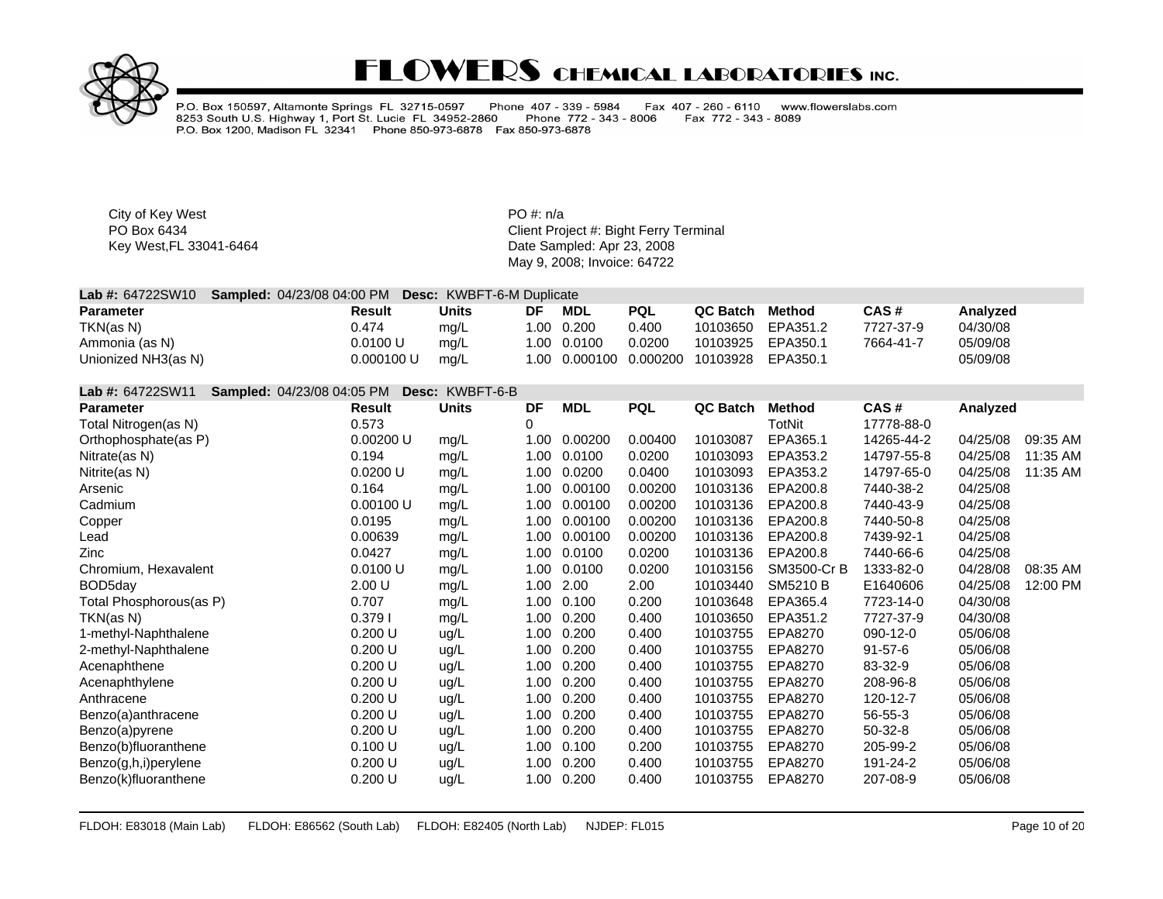

P.O. Box 150597, Altamonte Springs FL 32715-0597 Phone 407 - 339 - 5984<br>8253 South U.S. Highway 1, Port St. Lucie FL 34952-2860 Phone 772 - 343<br>P.O. Box 1200, Madison FL 32341 Phone 850-973-6878 Fax 850-973-6878 Fax 407 - 260 - 6110 www.flowerslabs.com Phone 772 - 343 - 8006 Fax 772 - 343 - 8089

City of Key West **PO** #: n/a

| <b>Lab #: <math>64722SW10</math></b> | <b>Sampled: 04/23/08 04:00 PM Desc: KWBFT-6-M Duplicate</b> |              |    |             |            |                                              |        |           |          |  |
|--------------------------------------|-------------------------------------------------------------|--------------|----|-------------|------------|----------------------------------------------|--------|-----------|----------|--|
| <b>Parameter</b>                     | Result                                                      | <b>Units</b> | DF | MDL         | <b>PQL</b> | QC Batch                                     | Method | CAS#      | Analyzed |  |
| TKN(as N)                            | 0.474                                                       | mq/L         |    | 1.00 0.200  | 0.400      | 10103650 EPA351.2                            |        | 7727-37-9 | 04/30/08 |  |
| Ammonia (as N)                       | 0.0100 U                                                    | mg/L         |    | 1.00 0.0100 | 0.0200     | 10103925 EPA350.1                            |        | 7664-41-7 | 05/09/08 |  |
| Unionized NH3(as N)                  | 0.000100 U                                                  | mg/L         |    |             |            | 1.00  0.000100  0.000200  10103928  EPA350.1 |        |           | 05/09/08 |  |

| Lab #: 64722SW11        | <b>Sampled: 04/23/08 04:05 PM</b> | Desc: KWBFT-6-B |      |            |            |                 |                 |               |          |          |
|-------------------------|-----------------------------------|-----------------|------|------------|------------|-----------------|-----------------|---------------|----------|----------|
| <b>Parameter</b>        | Result                            | <b>Units</b>    | DF   | <b>MDL</b> | <b>PQL</b> | <b>QC Batch</b> | <b>Method</b>   | CAS#          | Analyzed |          |
| Total Nitrogen(as N)    | 0.573                             |                 | 0    |            |            |                 | <b>TotNit</b>   | 17778-88-0    |          |          |
| Orthophosphate(as P)    | 0.00200 U                         | mg/L            | 1.00 | 0.00200    | 0.00400    | 10103087        | EPA365.1        | 14265-44-2    | 04/25/08 | 09:35 AM |
| Nitrate(as N)           | 0.194                             | mg/L            | 1.00 | 0.0100     | 0.0200     | 10103093        | EPA353.2        | 14797-55-8    | 04/25/08 | 11:35 AM |
| Nitrite(as N)           | 0.0200 U                          | mg/L            | 1.00 | 0.0200     | 0.0400     | 10103093        | EPA353.2        | 14797-65-0    | 04/25/08 | 11:35 AM |
| Arsenic                 | 0.164                             | mg/L            | 1.00 | 0.00100    | 0.00200    | 10103136        | EPA200.8        | 7440-38-2     | 04/25/08 |          |
| Cadmium                 | 0.00100 U                         | mg/L            | 1.00 | 0.00100    | 0.00200    | 10103136        | EPA200.8        | 7440-43-9     | 04/25/08 |          |
| Copper                  | 0.0195                            | mg/L            | 1.00 | 0.00100    | 0.00200    | 10103136        | EPA200.8        | 7440-50-8     | 04/25/08 |          |
| Lead                    | 0.00639                           | mg/L            | 1.00 | 0.00100    | 0.00200    | 10103136        | EPA200.8        | 7439-92-1     | 04/25/08 |          |
| Zinc                    | 0.0427                            | mg/L            | 1.00 | 0.0100     | 0.0200     | 10103136        | EPA200.8        | 7440-66-6     | 04/25/08 |          |
| Chromium, Hexavalent    | 0.0100 U                          | mg/L            | 1.00 | 0.0100     | 0.0200     | 10103156        | SM3500-Cr B     | 1333-82-0     | 04/28/08 | 08:35 AM |
| BOD <sub>5day</sub>     | 2.00 U                            | mg/L            | 1.00 | 2.00       | 2.00       | 10103440        | <b>SM5210 B</b> | E1640606      | 04/25/08 | 12:00 PM |
| Total Phosphorous(as P) | 0.707                             | mg/L            | 1.00 | 0.100      | 0.200      | 10103648        | EPA365.4        | 7723-14-0     | 04/30/08 |          |
| TKN(as N)               | 0.3791                            | mg/L            | 1.00 | 0.200      | 0.400      | 10103650        | EPA351.2        | 7727-37-9     | 04/30/08 |          |
| 1-methyl-Naphthalene    | 0.200 U                           | ug/L            | 1.00 | 0.200      | 0.400      | 10103755        | EPA8270         | 090-12-0      | 05/06/08 |          |
| 2-methyl-Naphthalene    | 0.200 U                           | ug/L            | 1.00 | 0.200      | 0.400      | 10103755        | EPA8270         | $91 - 57 - 6$ | 05/06/08 |          |
| Acenaphthene            | 0.200 U                           | ug/L            | 1.00 | 0.200      | 0.400      | 10103755        | EPA8270         | 83-32-9       | 05/06/08 |          |
| Acenaphthylene          | 0.200 U                           | ug/L            | 1.00 | 0.200      | 0.400      | 10103755        | EPA8270         | 208-96-8      | 05/06/08 |          |
| Anthracene              | 0.200 U                           | ug/L            | 1.00 | 0.200      | 0.400      | 10103755        | EPA8270         | 120-12-7      | 05/06/08 |          |
| Benzo(a)anthracene      | 0.200 U                           | ug/L            | 1.00 | 0.200      | 0.400      | 10103755        | EPA8270         | 56-55-3       | 05/06/08 |          |
| Benzo(a)pyrene          | 0.200 U                           | ug/L            | 1.00 | 0.200      | 0.400      | 10103755        | EPA8270         | 50-32-8       | 05/06/08 |          |
| Benzo(b)fluoranthene    | 0.100 U                           | ug/L            | 1.00 | 0.100      | 0.200      | 10103755        | EPA8270         | 205-99-2      | 05/06/08 |          |
| Benzo(g,h,i)perylene    | 0.200 U                           | ug/L            | 1.00 | 0.200      | 0.400      | 10103755        | EPA8270         | 191-24-2      | 05/06/08 |          |
| Benzo(k)fluoranthene    | 0.200 U                           | ug/L            | 1.00 | 0.200      | 0.400      | 10103755        | EPA8270         | 207-08-9      | 05/06/08 |          |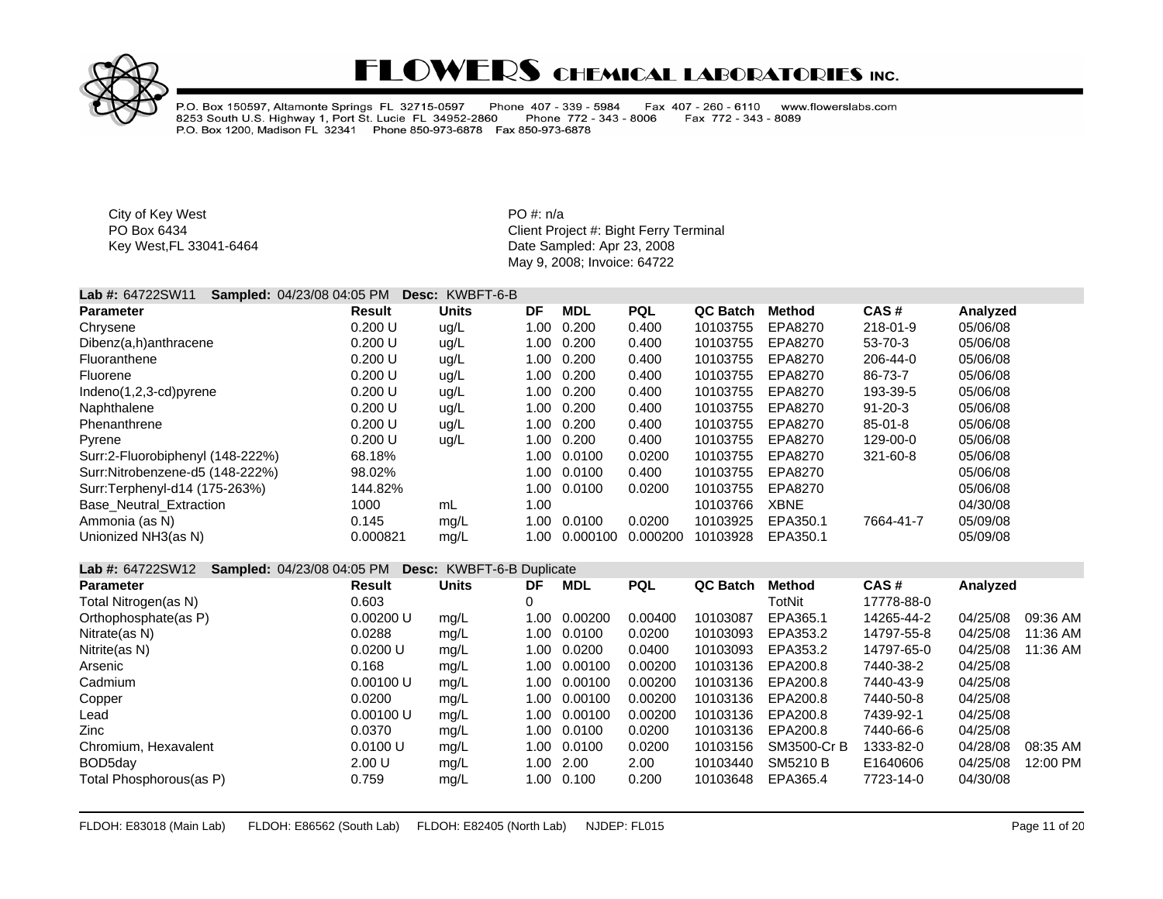

P.O. Box 150597, Altamonte Springs FL 32715-0597 Phone 407 - 339 - 5984<br>8253 South U.S. Highway 1, Port St. Lucie FL 34952-2860 Phone 772 - 343 Fax 407 - 260 - 6110 www.flowerslabs.com Fax 772 - 343 - 8089 Phone 772 - 343 - 8006 P.O. Box 1200, Madison FL 32341 Phone 850-973-6878 Fax 850-973-6878

City of Key West **PO** #: n/a

PO Box 6434 **PO Box 6434** Client Project #: Bight Ferry Terminal Key West,FL 33041-6464 **Date Sampled: Apr 23, 2008** May 9, 2008; Invoice: 64722

### **Lab #:** 64722SW11 **Sampled:** 04/23/08 04:05 PM **Desc:** KWBFT-6-B

| <b>Parameter</b>                 | <b>Result</b> | <b>Units</b> | DF   | <b>MDL</b> | <b>PQL</b> | QC Batch | Method      | CAS#          | Analyzed |
|----------------------------------|---------------|--------------|------|------------|------------|----------|-------------|---------------|----------|
| Chrysene                         | 0.200 U       | ug/L         | 1.00 | 0.200      | 0.400      | 10103755 | EPA8270     | 218-01-9      | 05/06/08 |
| Dibenz(a,h)anthracene            | 0.200 U       | ug/L         | 1.00 | 0.200      | 0.400      | 10103755 | EPA8270     | 53-70-3       | 05/06/08 |
| Fluoranthene                     | 0.200 U       | ug/L         | 1.00 | 0.200      | 0.400      | 10103755 | EPA8270     | 206-44-0      | 05/06/08 |
| Fluorene                         | 0.200 U       | ug/L         | 1.00 | 0.200      | 0.400      | 10103755 | EPA8270     | 86-73-7       | 05/06/08 |
| Indeno(1,2,3-cd)pyrene           | 0.200 U       | ug/L         | 1.00 | 0.200      | 0.400      | 10103755 | EPA8270     | 193-39-5      | 05/06/08 |
| Naphthalene                      | 0.200 U       | ug/L         | 1.00 | 0.200      | 0.400      | 10103755 | EPA8270     | $91 - 20 - 3$ | 05/06/08 |
| Phenanthrene                     | 0.200 U       | ug/L         | 1.00 | 0.200      | 0.400      | 10103755 | EPA8270     | $85 - 01 - 8$ | 05/06/08 |
| Pyrene                           | 0.200 U       | ug/L         | 1.00 | 0.200      | 0.400      | 10103755 | EPA8270     | 129-00-0      | 05/06/08 |
| Surr:2-Fluorobiphenyl (148-222%) | 68.18%        |              | 1.00 | 0.0100     | 0.0200     | 10103755 | EPA8270     | 321-60-8      | 05/06/08 |
| Surr:Nitrobenzene-d5 (148-222%)  | 98.02%        |              | 1.00 | 0.0100     | 0.400      | 10103755 | EPA8270     |               | 05/06/08 |
| Surr:Terphenyl-d14 (175-263%)    | 144.82%       |              | 1.00 | 0.0100     | 0.0200     | 10103755 | EPA8270     |               | 05/06/08 |
| <b>Base Neutral Extraction</b>   | 1000          | mL           | 1.00 |            |            | 10103766 | <b>XBNE</b> |               | 04/30/08 |
| Ammonia (as N)                   | 0.145         | mg/L         | 1.00 | 0.0100     | 0.0200     | 10103925 | EPA350.1    | 7664-41-7     | 05/09/08 |
| Unionized NH3(as N)              | 0.000821      | mq/L         | 1.00 | 0.000100   | 0.000200   | 10103928 | EPA350.1    |               | 05/09/08 |

#### **Lab #:** 64722SW12 **Sampled:** 04/23/08 04:05 PM **Desc:** KWBFT-6-B Duplicate

| <b>Parameter</b>        | Result    | <b>Units</b> | DF   | <b>MDL</b> | <b>PQL</b> | <b>QC Batch</b> | <b>Method</b> | CAS#       | Analyzed |          |
|-------------------------|-----------|--------------|------|------------|------------|-----------------|---------------|------------|----------|----------|
| Total Nitrogen(as N)    | 0.603     |              |      |            |            |                 | TotNit        | 17778-88-0 |          |          |
| Orthophosphate(as P)    | 0.00200 U | mg/L         | 1.00 | 0.00200    | 0.00400    | 10103087        | EPA365.1      | 14265-44-2 | 04/25/08 | 09:36 AM |
| Nitrate(as N)           | 0.0288    | mg/L         | 1.00 | 0.0100     | 0.0200     | 10103093        | EPA353.2      | 14797-55-8 | 04/25/08 | 11:36 AM |
| Nitrite(as N)           | 0.0200 U  | mg/L         | 1.00 | 0.0200     | 0.0400     | 10103093        | EPA353.2      | 14797-65-0 | 04/25/08 | 11:36 AM |
| Arsenic                 | 0.168     | mg/L         | 1.00 | 0.00100    | 0.00200    | 10103136        | EPA200.8      | 7440-38-2  | 04/25/08 |          |
| Cadmium                 | 0.00100 U | mg/L         | 1.00 | 0.00100    | 0.00200    | 10103136        | EPA200.8      | 7440-43-9  | 04/25/08 |          |
| Copper                  | 0.0200    | mg/L         | 1.00 | 0.00100    | 0.00200    | 10103136        | EPA200.8      | 7440-50-8  | 04/25/08 |          |
| Lead                    | 0.00100 U | mg/L         | 1.00 | 0.00100    | 0.00200    | 10103136        | EPA200.8      | 7439-92-1  | 04/25/08 |          |
| Zinc                    | 0.0370    | mg/L         | 1.00 | 0.0100     | 0.0200     | 10103136        | EPA200.8      | 7440-66-6  | 04/25/08 |          |
| Chromium, Hexavalent    | 0.0100 U  | mg/L         | 1.00 | 0.0100     | 0.0200     | 10103156        | SM3500-Cr B   | 1333-82-0  | 04/28/08 | 08:35 AM |
| BOD5day                 | 2.00 U    | mg/L         | 1.00 | 2.00       | 2.00       | 10103440        | SM5210 B      | E1640606   | 04/25/08 | 12:00 PM |
| Total Phosphorous(as P) | 0.759     | mg/L         | 1.00 | 0.100      | 0.200      | 10103648        | EPA365.4      | 7723-14-0  | 04/30/08 |          |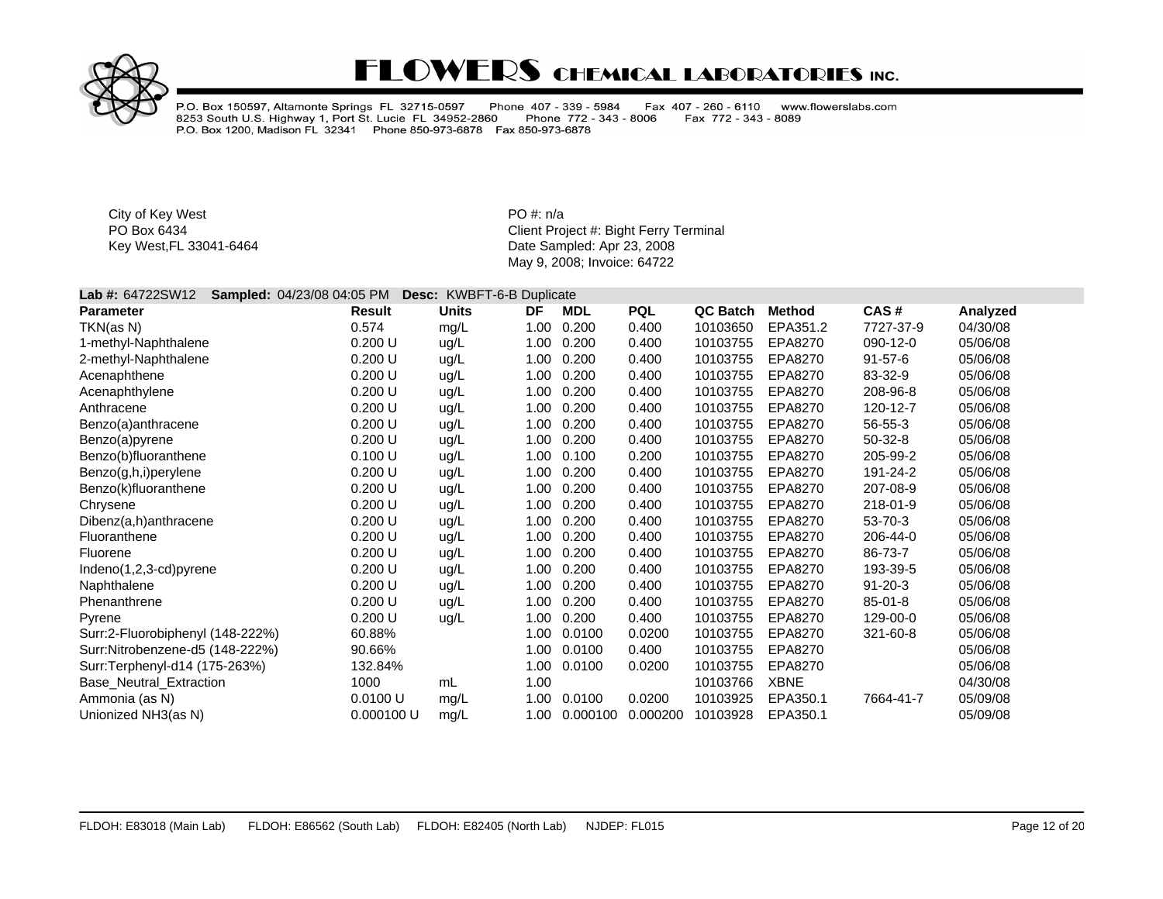

P.O. Box 150597, Altamonte Springs FL 32715-0597 Phone 407 - 339 - 5984<br>8253 South U.S. Highway 1, Port St. Lucie FL 34952-2860 Phone 772 - 343<br>P.O. Box 1200, Madison FL 32341 Phone 850-973-6878 Fax 850-973-6878 Fax 407 - 260 - 6110 www.flowerslabs.com Fax 772 - 343 - 8089 Phone 772 - 343 - 8006

City of Key West **PO** #: n/a

| Lab #: 64722SW12                 | Sampled: 04/23/08 04:05 PM | <b>Desc: KWBFT-6-B Duplicate</b> |      |            |            |          |               |               |          |  |
|----------------------------------|----------------------------|----------------------------------|------|------------|------------|----------|---------------|---------------|----------|--|
| <b>Parameter</b>                 | <b>Result</b>              | <b>Units</b>                     | DF   | <b>MDL</b> | <b>PQL</b> | QC Batch | <b>Method</b> | CAS#          | Analyzed |  |
| TKN(as N)                        | 0.574                      | mg/L                             | 1.00 | 0.200      | 0.400      | 10103650 | EPA351.2      | 7727-37-9     | 04/30/08 |  |
| 1-methyl-Naphthalene             | 0.200 U                    | ug/L                             | 1.00 | 0.200      | 0.400      | 10103755 | EPA8270       | 090-12-0      | 05/06/08 |  |
| 2-methyl-Naphthalene             | 0.200 U                    | ug/L                             | 1.00 | 0.200      | 0.400      | 10103755 | EPA8270       | $91 - 57 - 6$ | 05/06/08 |  |
| Acenaphthene                     | 0.200 U                    | ug/L                             | 1.00 | 0.200      | 0.400      | 10103755 | EPA8270       | 83-32-9       | 05/06/08 |  |
| Acenaphthylene                   | 0.200 U                    | ug/L                             | 1.00 | 0.200      | 0.400      | 10103755 | EPA8270       | 208-96-8      | 05/06/08 |  |
| Anthracene                       | 0.200 U                    | ug/L                             | 1.00 | 0.200      | 0.400      | 10103755 | EPA8270       | 120-12-7      | 05/06/08 |  |
| Benzo(a)anthracene               | 0.200 U                    | ug/L                             | 1.00 | 0.200      | 0.400      | 10103755 | EPA8270       | 56-55-3       | 05/06/08 |  |
| Benzo(a)pyrene                   | 0.200 U                    | ug/L                             | 1.00 | 0.200      | 0.400      | 10103755 | EPA8270       | $50-32-8$     | 05/06/08 |  |
| Benzo(b)fluoranthene             | 0.100 U                    | ug/L                             | 1.00 | 0.100      | 0.200      | 10103755 | EPA8270       | 205-99-2      | 05/06/08 |  |
| Benzo(g,h,i)perylene             | 0.200 U                    | ug/L                             | 1.00 | 0.200      | 0.400      | 10103755 | EPA8270       | 191-24-2      | 05/06/08 |  |
| Benzo(k)fluoranthene             | 0.200 U                    | ug/L                             | 1.00 | 0.200      | 0.400      | 10103755 | EPA8270       | 207-08-9      | 05/06/08 |  |
| Chrysene                         | 0.200 U                    | ug/L                             | 1.00 | 0.200      | 0.400      | 10103755 | EPA8270       | 218-01-9      | 05/06/08 |  |
| Dibenz(a,h)anthracene            | 0.200 U                    | ug/L                             | 1.00 | 0.200      | 0.400      | 10103755 | EPA8270       | 53-70-3       | 05/06/08 |  |
| Fluoranthene                     | 0.200 U                    | ug/L                             | 1.00 | 0.200      | 0.400      | 10103755 | EPA8270       | 206-44-0      | 05/06/08 |  |
| Fluorene                         | 0.200 U                    | ug/L                             | 1.00 | 0.200      | 0.400      | 10103755 | EPA8270       | 86-73-7       | 05/06/08 |  |
| $Indeno(1,2,3-cd)pyrene$         | 0.200 U                    | ug/L                             | 1.00 | 0.200      | 0.400      | 10103755 | EPA8270       | 193-39-5      | 05/06/08 |  |
| Naphthalene                      | 0.200 U                    | ug/L                             | 1.00 | 0.200      | 0.400      | 10103755 | EPA8270       | $91 - 20 - 3$ | 05/06/08 |  |
| Phenanthrene                     | 0.200 U                    | ug/L                             | 1.00 | 0.200      | 0.400      | 10103755 | EPA8270       | $85 - 01 - 8$ | 05/06/08 |  |
| Pyrene                           | 0.200 U                    | ug/L                             | 1.00 | 0.200      | 0.400      | 10103755 | EPA8270       | 129-00-0      | 05/06/08 |  |
| Surr:2-Fluorobiphenyl (148-222%) | 60.88%                     |                                  | 1.00 | 0.0100     | 0.0200     | 10103755 | EPA8270       | 321-60-8      | 05/06/08 |  |
| Surr:Nitrobenzene-d5 (148-222%)  | 90.66%                     |                                  | 1.00 | 0.0100     | 0.400      | 10103755 | EPA8270       |               | 05/06/08 |  |
| Surr:Terphenyl-d14 (175-263%)    | 132.84%                    |                                  | 1.00 | 0.0100     | 0.0200     | 10103755 | EPA8270       |               | 05/06/08 |  |
| <b>Base Neutral Extraction</b>   | 1000                       | mL                               | 1.00 |            |            | 10103766 | <b>XBNE</b>   |               | 04/30/08 |  |
| Ammonia (as N)                   | 0.0100 U                   | mg/L                             | 1.00 | 0.0100     | 0.0200     | 10103925 | EPA350.1      | 7664-41-7     | 05/09/08 |  |
| Unionized NH3(as N)              | 0.000100 U                 | ma/L                             | 1.00 | 0.000100   | 0.000200   | 10103928 | EPA350.1      |               | 05/09/08 |  |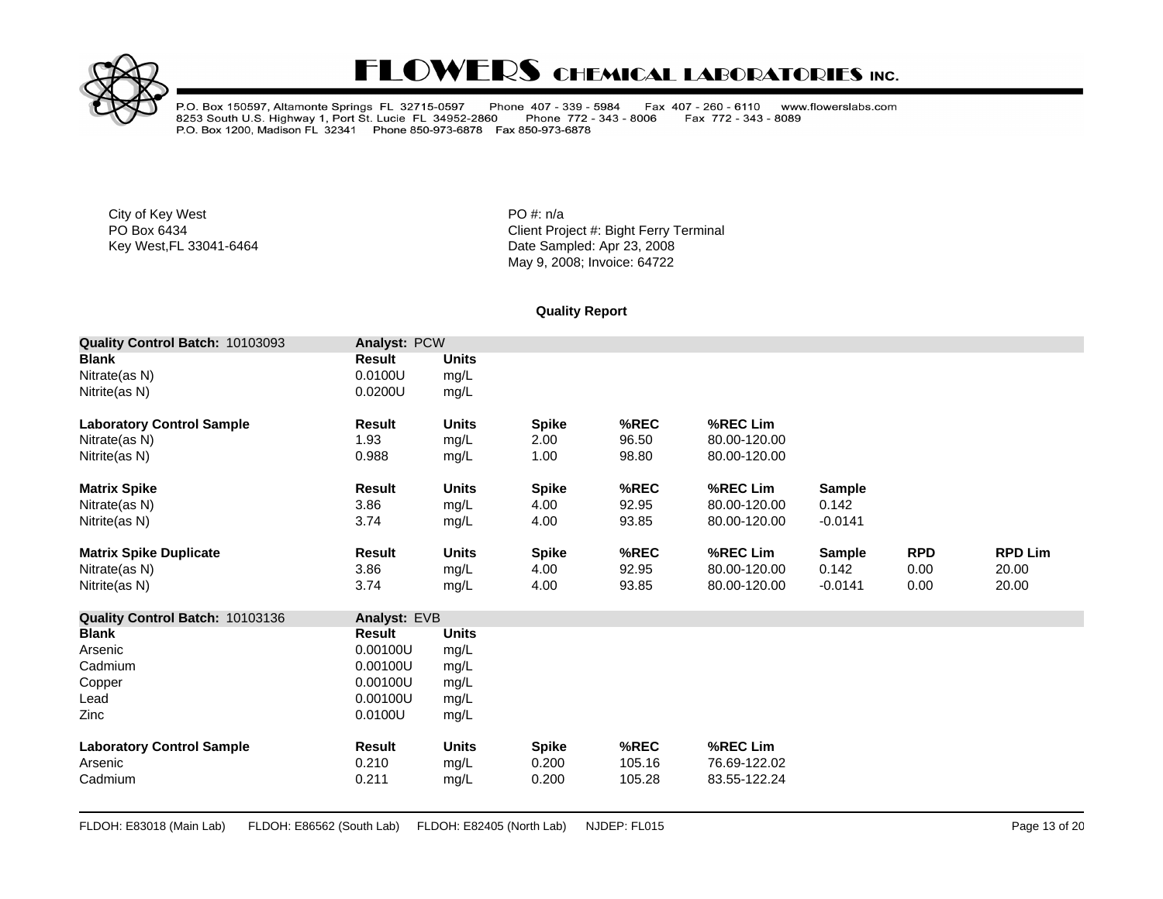

P.O. Box 150597, Altamonte Springs FL 32715-0597 Phone 407 - 339 - 5984<br>8253 South U.S. Highway 1, Port St. Lucie FL 34952-2860 Phone 772 - 343<br>P.O. Box 1200, Madison FL 32341 Phone 850-973-6878 Fax 850-973-6878 Fax 407 - 260 - 6110 www.flowerslabs.com Phone 772 - 343 - 8006 Fax 772 - 343 - 8089

City of Key West **PO** #: n/a

PO Box 6434<br>
Key West,FL 33041-6464<br>
Key West,FL 33041-6464<br>
Client Project #: Bight Ferry Terminal<br>
Date Sampled: Apr 23, 2008 Date Sampled: Apr 23, 2008 May 9, 2008; Invoice: 64722

#### **Quality Report**

| Quality Control Batch: 10103093  | <b>Analyst: PCW</b> |              |              |        |              |               |            |                |
|----------------------------------|---------------------|--------------|--------------|--------|--------------|---------------|------------|----------------|
| <b>Blank</b>                     | <b>Result</b>       | <b>Units</b> |              |        |              |               |            |                |
| Nitrate(as N)                    | 0.0100U             | mg/L         |              |        |              |               |            |                |
| Nitrite(as N)                    | 0.0200U             | mg/L         |              |        |              |               |            |                |
| <b>Laboratory Control Sample</b> | <b>Result</b>       | <b>Units</b> | <b>Spike</b> | %REC   | %REC Lim     |               |            |                |
| Nitrate(as N)                    | 1.93                | mg/L         | 2.00         | 96.50  | 80.00-120.00 |               |            |                |
| Nitrite(as N)                    | 0.988               | mg/L         | 1.00         | 98.80  | 80.00-120.00 |               |            |                |
| <b>Matrix Spike</b>              | <b>Result</b>       | <b>Units</b> | <b>Spike</b> | %REC   | %REC Lim     | <b>Sample</b> |            |                |
| Nitrate(as N)                    | 3.86                | mg/L         | 4.00         | 92.95  | 80.00-120.00 | 0.142         |            |                |
| Nitrite(as N)                    | 3.74                | mg/L         | 4.00         | 93.85  | 80.00-120.00 | $-0.0141$     |            |                |
| <b>Matrix Spike Duplicate</b>    | <b>Result</b>       | <b>Units</b> | <b>Spike</b> | %REC   | %REC Lim     | <b>Sample</b> | <b>RPD</b> | <b>RPD Lim</b> |
| Nitrate(as N)                    | 3.86                | mg/L         | 4.00         | 92.95  | 80.00-120.00 | 0.142         | 0.00       | 20.00          |
| Nitrite(as N)                    | 3.74                | mg/L         | 4.00         | 93.85  | 80.00-120.00 | $-0.0141$     | 0.00       | 20.00          |
| Quality Control Batch: 10103136  | Analyst: EVB        |              |              |        |              |               |            |                |
| <b>Blank</b>                     | Result              | <b>Units</b> |              |        |              |               |            |                |
| Arsenic                          | 0.00100U            | mg/L         |              |        |              |               |            |                |
| Cadmium                          | 0.00100U            | mg/L         |              |        |              |               |            |                |
| Copper                           | 0.00100U            | mg/L         |              |        |              |               |            |                |
| Lead                             | 0.00100U            | mg/L         |              |        |              |               |            |                |
| Zinc                             | 0.0100U             | mg/L         |              |        |              |               |            |                |
| <b>Laboratory Control Sample</b> | <b>Result</b>       | <b>Units</b> | <b>Spike</b> | %REC   | %REC Lim     |               |            |                |
| Arsenic                          | 0.210               | mg/L         | 0.200        | 105.16 | 76.69-122.02 |               |            |                |
| Cadmium                          | 0.211               | mg/L         | 0.200        | 105.28 | 83.55-122.24 |               |            |                |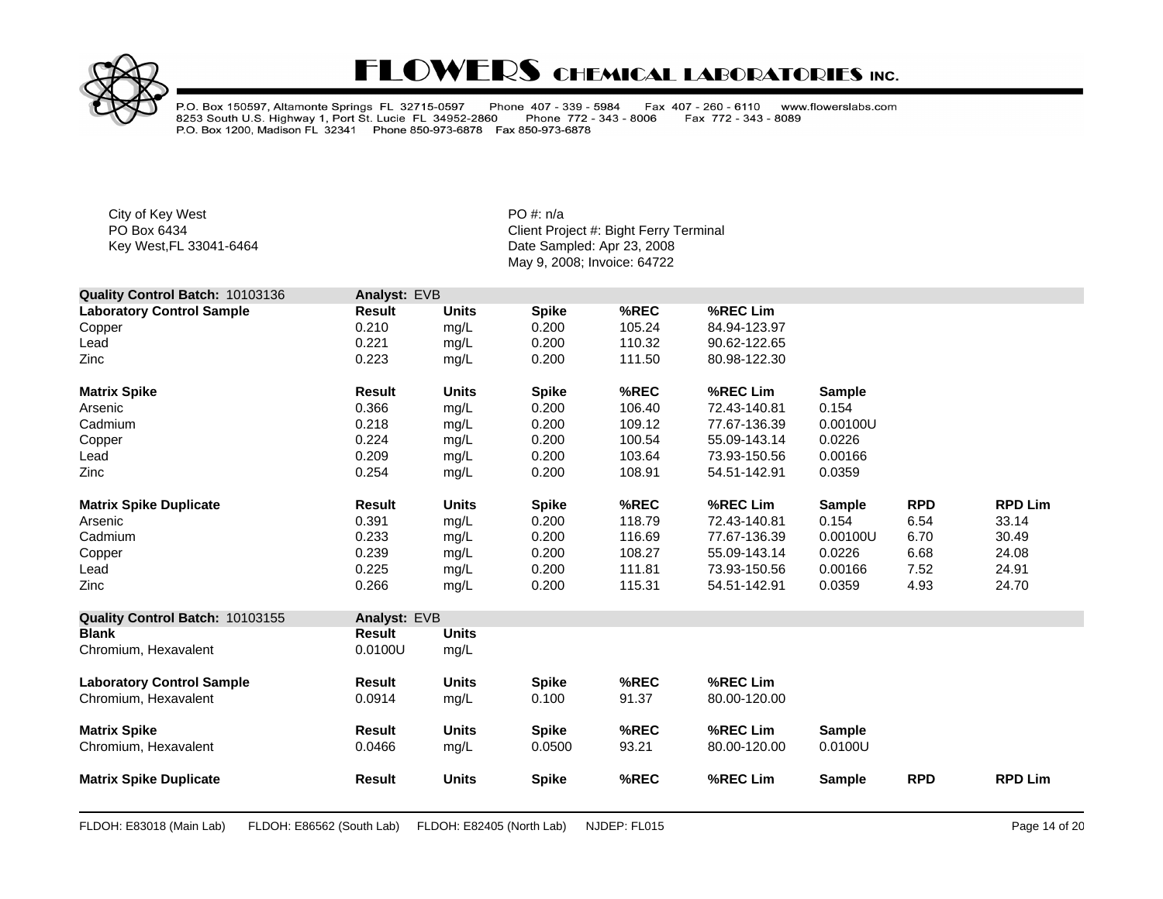

P.O. Box 150597, Altamonte Springs FL 32715-0597 Phone 407 - 339 - 5984<br>8253 South U.S. Highway 1, Port St. Lucie FL 34952-2860 Phone 772 - 343<br>P.O. Box 1200, Madison FL 32341 Phone 850-973-6878 Fax 850-973-6878 Fax 407 - 260 - 6110 www.flowerslabs.com Phone 772 - 343 - 8006 Fax 772 - 343 - 8089

City of Key West **PO** #: n/a

| Quality Control Batch: 10103136  | Analyst: EVB  |              |              |        |              |               |            |                |
|----------------------------------|---------------|--------------|--------------|--------|--------------|---------------|------------|----------------|
| <b>Laboratory Control Sample</b> | Result        | <b>Units</b> | <b>Spike</b> | %REC   | %REC Lim     |               |            |                |
| Copper                           | 0.210         | mg/L         | 0.200        | 105.24 | 84.94-123.97 |               |            |                |
| Lead                             | 0.221         | mg/L         | 0.200        | 110.32 | 90.62-122.65 |               |            |                |
| Zinc                             | 0.223         | mg/L         | 0.200        | 111.50 | 80.98-122.30 |               |            |                |
| <b>Matrix Spike</b>              | <b>Result</b> | <b>Units</b> | <b>Spike</b> | %REC   | %REC Lim     | <b>Sample</b> |            |                |
| Arsenic                          | 0.366         | mg/L         | 0.200        | 106.40 | 72.43-140.81 | 0.154         |            |                |
| Cadmium                          | 0.218         | mg/L         | 0.200        | 109.12 | 77.67-136.39 | 0.00100U      |            |                |
| Copper                           | 0.224         | mg/L         | 0.200        | 100.54 | 55.09-143.14 | 0.0226        |            |                |
| Lead                             | 0.209         | mg/L         | 0.200        | 103.64 | 73.93-150.56 | 0.00166       |            |                |
| Zinc                             | 0.254         | mg/L         | 0.200        | 108.91 | 54.51-142.91 | 0.0359        |            |                |
| <b>Matrix Spike Duplicate</b>    | <b>Result</b> | <b>Units</b> | <b>Spike</b> | %REC   | %REC Lim     | <b>Sample</b> | <b>RPD</b> | <b>RPD Lim</b> |
| Arsenic                          | 0.391         | mg/L         | 0.200        | 118.79 | 72.43-140.81 | 0.154         | 6.54       | 33.14          |
| Cadmium                          | 0.233         | mg/L         | 0.200        | 116.69 | 77.67-136.39 | 0.00100U      | 6.70       | 30.49          |
| Copper                           | 0.239         | mg/L         | 0.200        | 108.27 | 55.09-143.14 | 0.0226        | 6.68       | 24.08          |
| Lead                             | 0.225         | mg/L         | 0.200        | 111.81 | 73.93-150.56 | 0.00166       | 7.52       | 24.91          |
| Zinc                             | 0.266         | mg/L         | 0.200        | 115.31 | 54.51-142.91 | 0.0359        | 4.93       | 24.70          |
| Quality Control Batch: 10103155  | Analyst: EVB  |              |              |        |              |               |            |                |
| <b>Blank</b>                     | <b>Result</b> | <b>Units</b> |              |        |              |               |            |                |
| Chromium, Hexavalent             | 0.0100U       | mg/L         |              |        |              |               |            |                |
| <b>Laboratory Control Sample</b> | Result        | <b>Units</b> | <b>Spike</b> | %REC   | %REC Lim     |               |            |                |
| Chromium, Hexavalent             | 0.0914        | mg/L         | 0.100        | 91.37  | 80.00-120.00 |               |            |                |
| <b>Matrix Spike</b>              | Result        | <b>Units</b> | <b>Spike</b> | %REC   | %REC Lim     | <b>Sample</b> |            |                |
| Chromium, Hexavalent             | 0.0466        | mg/L         | 0.0500       | 93.21  | 80.00-120.00 | 0.0100U       |            |                |
| <b>Matrix Spike Duplicate</b>    | <b>Result</b> | <b>Units</b> | <b>Spike</b> | %REC   | %REC Lim     | <b>Sample</b> | <b>RPD</b> | <b>RPD Lim</b> |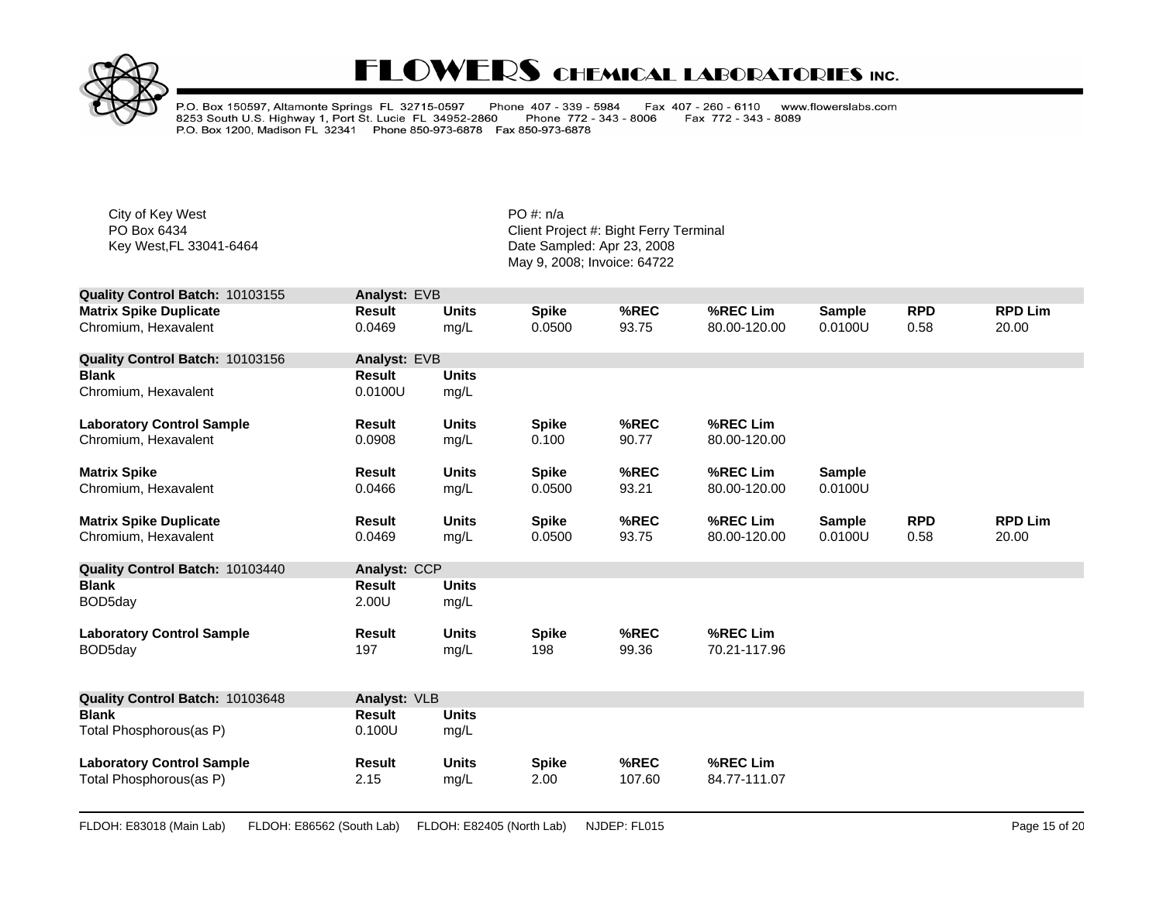

P.O. Box 150597, Altamonte Springs FL 32715-0597 Phone 407 - 339 - 5984<br>8253 South U.S. Highway 1, Port St. Lucie FL 34952-2860 Phone 772 - 343<br>P.O. Box 1200, Madison FL 32341 Phone 850-973-6878 Fax 850-973-6878 Fax 407 - 260 - 6110 www.flowerslabs.com Phone 772 - 343 - 8006 Fax 772 - 343 - 8089

City of Key West **PO** #: n/a

| Quality Control Batch: 10103155  | Analyst: EVB  |              |              |        |              |               |            |                |
|----------------------------------|---------------|--------------|--------------|--------|--------------|---------------|------------|----------------|
| <b>Matrix Spike Duplicate</b>    | <b>Result</b> | <b>Units</b> | <b>Spike</b> | %REC   | %REC Lim     | <b>Sample</b> | <b>RPD</b> | <b>RPD Lim</b> |
| Chromium. Hexavalent             | 0.0469        | mg/L         | 0.0500       | 93.75  | 80.00-120.00 | 0.0100U       | 0.58       | 20.00          |
| Quality Control Batch: 10103156  | Analyst: EVB  |              |              |        |              |               |            |                |
| <b>Blank</b>                     | <b>Result</b> | <b>Units</b> |              |        |              |               |            |                |
| Chromium, Hexavalent             | 0.0100U       | mg/L         |              |        |              |               |            |                |
| <b>Laboratory Control Sample</b> | Result        | <b>Units</b> | <b>Spike</b> | %REC   | %REC Lim     |               |            |                |
| Chromium. Hexavalent             | 0.0908        | mg/L         | 0.100        | 90.77  | 80.00-120.00 |               |            |                |
| <b>Matrix Spike</b>              | <b>Result</b> | <b>Units</b> | <b>Spike</b> | %REC   | %REC Lim     | <b>Sample</b> |            |                |
| Chromium, Hexavalent             | 0.0466        | mg/L         | 0.0500       | 93.21  | 80.00-120.00 | 0.0100U       |            |                |
| <b>Matrix Spike Duplicate</b>    | <b>Result</b> | <b>Units</b> | <b>Spike</b> | %REC   | %REC Lim     | <b>Sample</b> | <b>RPD</b> | <b>RPD Lim</b> |
| Chromium, Hexavalent             | 0.0469        | mg/L         | 0.0500       | 93.75  | 80.00-120.00 | 0.0100U       | 0.58       | 20.00          |
| Quality Control Batch: 10103440  | Analyst: CCP  |              |              |        |              |               |            |                |
| <b>Blank</b>                     | <b>Result</b> | <b>Units</b> |              |        |              |               |            |                |
| BOD5day                          | 2.00U         | mg/L         |              |        |              |               |            |                |
| <b>Laboratory Control Sample</b> | <b>Result</b> | <b>Units</b> | <b>Spike</b> | %REC   | %REC Lim     |               |            |                |
| BOD5day                          | 197           | mg/L         | 198          | 99.36  | 70.21-117.96 |               |            |                |
| Quality Control Batch: 10103648  | Analyst: VLB  |              |              |        |              |               |            |                |
| <b>Blank</b>                     | <b>Result</b> | <b>Units</b> |              |        |              |               |            |                |
| Total Phosphorous(as P)          | 0.100U        | mg/L         |              |        |              |               |            |                |
| <b>Laboratory Control Sample</b> | Result        | <b>Units</b> | <b>Spike</b> | %REC   | %REC Lim     |               |            |                |
| Total Phosphorous(as P)          | 2.15          | mg/L         | 2.00         | 107.60 | 84.77-111.07 |               |            |                |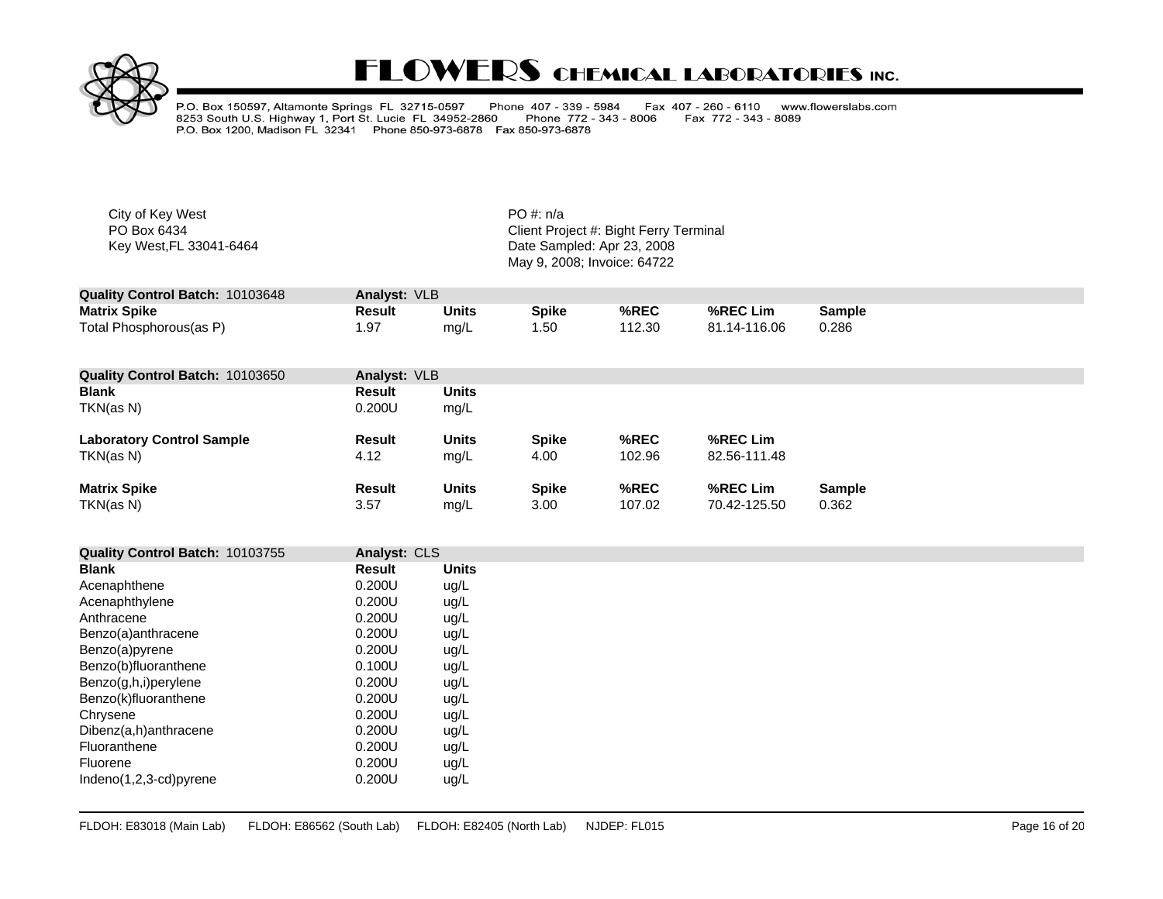

P.O. Box 150597, Altamonte Springs FL 32715-0597 Phone 407 - 339 - 5984<br>8253 South U.S. Highway 1, Port St. Lucie FL 34952-2860 Phone 772 - 343<br>P.O. Box 1200, Madison FL 32341 Phone 850-973-6878 Fax 850-973-6878 Fax 407 - 260 - 6110 www.flowerslabs.com Phone 772 - 343 - 8006 Fax 772 - 343 - 8089

City of Key West **PO** #: n/a

| Quality Control Batch: 10103648 | Analyst: VLB |       |              |        |              |        |
|---------------------------------|--------------|-------|--------------|--------|--------------|--------|
| <b>Matrix Spike</b>             | Result       | Units | <b>Spike</b> | %REC   | %REC Lim     | Sample |
| Total Phosphorous(as P)         |              | mg/L  | 1.50         | 112.30 | 81.14-116.06 | 0.286  |

| <b>Quality Control Batch: 10103650</b> | Analyst: VLB  |              |              |        |              |               |
|----------------------------------------|---------------|--------------|--------------|--------|--------------|---------------|
| <b>Blank</b>                           | <b>Result</b> | <b>Units</b> |              |        |              |               |
| TKN(as N)                              | 0.200U        | mg/L         |              |        |              |               |
| <b>Laboratory Control Sample</b>       | Result        | <b>Units</b> | <b>Spike</b> | %REC   | %REC Lim     |               |
| TKN(as N)                              | 4.12          | mg/L         | 4.00         | 102.96 | 82.56-111.48 |               |
| <b>Matrix Spike</b>                    | <b>Result</b> | <b>Units</b> | <b>Spike</b> | %REC   | %REC Lim     | <b>Sample</b> |
| TKN(as N)                              | 3.57          | mg/L         | 3.00         | 107.02 | 70.42-125.50 | 0.362         |

| Quality Control Batch: 10103755 | Analyst: CLS |              |
|---------------------------------|--------------|--------------|
| Blank                           | Result       | <b>Units</b> |
| Acenaphthene                    | 0.200U       | ug/L         |
| Acenaphthylene                  | 0.200U       | ug/L         |
| Anthracene                      | 0.200U       | ug/L         |
| Benzo(a)anthracene              | $0.200$ U    | ug/L         |
| Benzo(a)pyrene                  | 0.200U       | ug/L         |
| Benzo(b)fluoranthene            | 0.100U       | ug/L         |
| Benzo(g,h,i)perylene            | $0.200$ U    | ug/L         |
| Benzo(k)fluoranthene            | $0.200$ U    | ug/L         |
| Chrysene                        | $0.200$ U    | ug/L         |
| Dibenz(a,h)anthracene           | 0.200U       | ug/L         |
| Fluoranthene                    | 0.200U       | ug/L         |
| Fluorene                        | 0.200U       | ug/L         |
| Indeno $(1,2,3$ -cd)pyrene      | 0.200U       | ug/L         |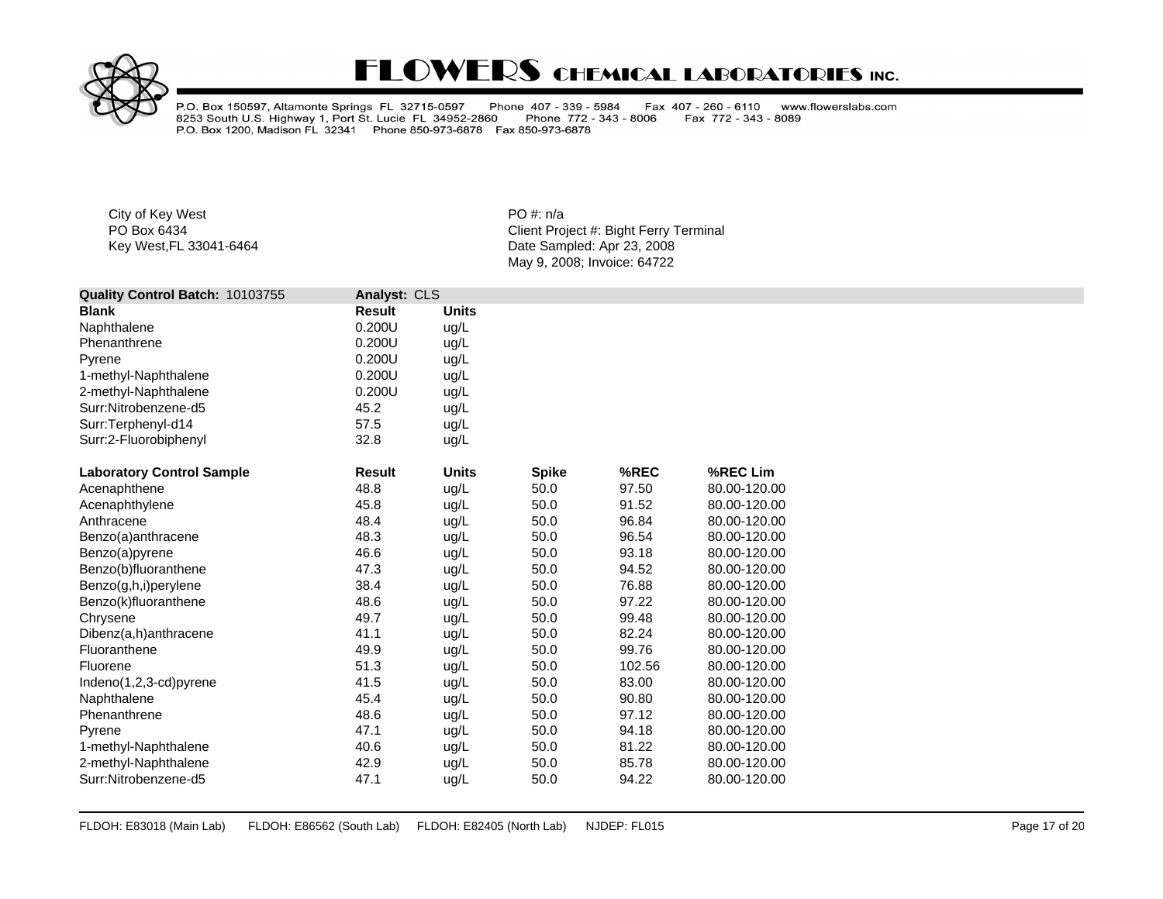

P.O. Box 150597, Altamonte Springs FL 32715-0597 Phone 407 - 339 - 5984<br>8253 South U.S. Highway 1, Port St. Lucie FL 34952-2860 Phone 772 - 343<br>P.O. Box 1200, Madison FL 32341 Phone 850-973-6878 Fax 850-973-6878 Fax 407 - 260 - 6110 www.flowerslabs.com Phone 772 - 343 - 8006 Fax 772 - 343 - 8089

City of Key West **PO** #: n/a

| Quality Control Batch: 10103755  | Analyst: CLS  |              |              |        |              |
|----------------------------------|---------------|--------------|--------------|--------|--------------|
| <b>Blank</b>                     | <b>Result</b> | <b>Units</b> |              |        |              |
| Naphthalene                      | 0.200U        | ug/L         |              |        |              |
| Phenanthrene                     | 0.200U        | ug/L         |              |        |              |
| Pyrene                           | 0.200U        | ug/L         |              |        |              |
| 1-methyl-Naphthalene             | 0.200U        | ug/L         |              |        |              |
| 2-methyl-Naphthalene             | 0.200U        | ug/L         |              |        |              |
| Surr:Nitrobenzene-d5             | 45.2          | ug/L         |              |        |              |
| Surr:Terphenyl-d14               | 57.5          | ug/L         |              |        |              |
| Surr:2-Fluorobiphenyl            | 32.8          | ug/L         |              |        |              |
| <b>Laboratory Control Sample</b> | <b>Result</b> | <b>Units</b> | <b>Spike</b> | %REC   | %REC Lim     |
| Acenaphthene                     | 48.8          | ug/L         | 50.0         | 97.50  | 80.00-120.00 |
| Acenaphthylene                   | 45.8          | ug/L         | 50.0         | 91.52  | 80.00-120.00 |
| Anthracene                       | 48.4          | ug/L         | 50.0         | 96.84  | 80.00-120.00 |
| Benzo(a)anthracene               | 48.3          | ug/L         | 50.0         | 96.54  | 80.00-120.00 |
| Benzo(a)pyrene                   | 46.6          | ug/L         | 50.0         | 93.18  | 80.00-120.00 |
| Benzo(b)fluoranthene             | 47.3          | ug/L         | 50.0         | 94.52  | 80.00-120.00 |
| Benzo(g,h,i)perylene             | 38.4          | ug/L         | 50.0         | 76.88  | 80.00-120.00 |
| Benzo(k)fluoranthene             | 48.6          | ug/L         | 50.0         | 97.22  | 80.00-120.00 |
| Chrysene                         | 49.7          | ug/L         | 50.0         | 99.48  | 80.00-120.00 |
| Dibenz(a,h)anthracene            | 41.1          | ug/L         | 50.0         | 82.24  | 80.00-120.00 |
| Fluoranthene                     | 49.9          | ug/L         | 50.0         | 99.76  | 80.00-120.00 |
| Fluorene                         | 51.3          | ug/L         | 50.0         | 102.56 | 80.00-120.00 |
| $Indeno(1,2,3-cd)pyrene$         | 41.5          | ug/L         | 50.0         | 83.00  | 80.00-120.00 |
| Naphthalene                      | 45.4          | ug/L         | 50.0         | 90.80  | 80.00-120.00 |
| Phenanthrene                     | 48.6          | ug/L         | 50.0         | 97.12  | 80.00-120.00 |
| Pyrene                           | 47.1          | ug/L         | 50.0         | 94.18  | 80.00-120.00 |
| 1-methyl-Naphthalene             | 40.6          | ug/L         | 50.0         | 81.22  | 80.00-120.00 |
| 2-methyl-Naphthalene             | 42.9          | ug/L         | 50.0         | 85.78  | 80.00-120.00 |
| Surr:Nitrobenzene-d5             | 47.1          | ug/L         | 50.0         | 94.22  | 80.00-120.00 |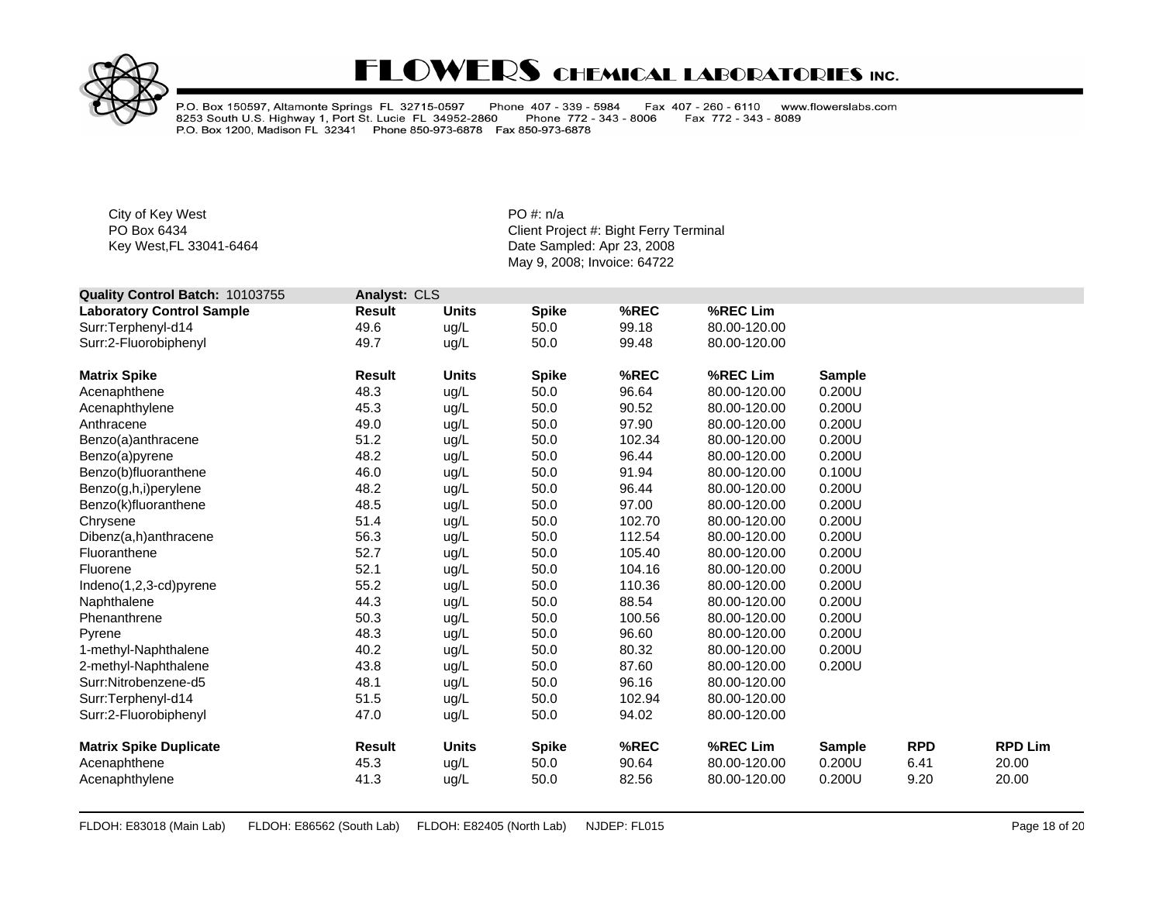

P.O. Box 150597, Altamonte Springs FL 32715-0597 Phone 407 - 339 - 5984<br>8253 South U.S. Highway 1, Port St. Lucie FL 34952-2860 Phone 772 - 343<br>P.O. Box 1200, Madison FL 32341 Phone 850-973-6878 Fax 850-973-6878 Fax 407 - 260 - 6110 www.flowerslabs.com Phone 772 - 343 - 8006 Fax 772 - 343 - 8089

City of Key West **PO** #: n/a

| Quality Control Batch: 10103755  | Analyst: CLS  |              |              |        |              |               |            |                |
|----------------------------------|---------------|--------------|--------------|--------|--------------|---------------|------------|----------------|
| <b>Laboratory Control Sample</b> | <b>Result</b> | <b>Units</b> | <b>Spike</b> | %REC   | %REC Lim     |               |            |                |
| Surr:Terphenyl-d14               | 49.6          | ug/L         | 50.0         | 99.18  | 80.00-120.00 |               |            |                |
| Surr:2-Fluorobiphenyl            | 49.7          | ug/L         | 50.0         | 99.48  | 80.00-120.00 |               |            |                |
| <b>Matrix Spike</b>              | <b>Result</b> | <b>Units</b> | <b>Spike</b> | %REC   | %REC Lim     | <b>Sample</b> |            |                |
| Acenaphthene                     | 48.3          | ug/L         | 50.0         | 96.64  | 80.00-120.00 | 0.200U        |            |                |
| Acenaphthylene                   | 45.3          | ug/L         | 50.0         | 90.52  | 80.00-120.00 | 0.200U        |            |                |
| Anthracene                       | 49.0          | ug/L         | 50.0         | 97.90  | 80.00-120.00 | 0.200U        |            |                |
| Benzo(a)anthracene               | 51.2          | ug/L         | 50.0         | 102.34 | 80.00-120.00 | 0.200U        |            |                |
| Benzo(a)pyrene                   | 48.2          | ug/L         | 50.0         | 96.44  | 80.00-120.00 | 0.200U        |            |                |
| Benzo(b)fluoranthene             | 46.0          | ug/L         | 50.0         | 91.94  | 80.00-120.00 | 0.100U        |            |                |
| Benzo(g,h,i)perylene             | 48.2          | ug/L         | 50.0         | 96.44  | 80.00-120.00 | 0.200U        |            |                |
| Benzo(k)fluoranthene             | 48.5          | ug/L         | 50.0         | 97.00  | 80.00-120.00 | 0.200U        |            |                |
| Chrysene                         | 51.4          | ug/L         | 50.0         | 102.70 | 80.00-120.00 | 0.200U        |            |                |
| Dibenz(a,h)anthracene            | 56.3          | ug/L         | 50.0         | 112.54 | 80.00-120.00 | 0.200U        |            |                |
| Fluoranthene                     | 52.7          | ug/L         | 50.0         | 105.40 | 80.00-120.00 | 0.200U        |            |                |
| Fluorene                         | 52.1          | ug/L         | 50.0         | 104.16 | 80.00-120.00 | 0.200U        |            |                |
| Indeno(1,2,3-cd)pyrene           | 55.2          | ug/L         | 50.0         | 110.36 | 80.00-120.00 | 0.200U        |            |                |
| Naphthalene                      | 44.3          | ug/L         | 50.0         | 88.54  | 80.00-120.00 | 0.200U        |            |                |
| Phenanthrene                     | 50.3          | ug/L         | 50.0         | 100.56 | 80.00-120.00 | 0.200U        |            |                |
| Pyrene                           | 48.3          | ug/L         | 50.0         | 96.60  | 80.00-120.00 | 0.200U        |            |                |
| 1-methyl-Naphthalene             | 40.2          | ug/L         | 50.0         | 80.32  | 80.00-120.00 | 0.200U        |            |                |
| 2-methyl-Naphthalene             | 43.8          | ug/L         | 50.0         | 87.60  | 80.00-120.00 | 0.200U        |            |                |
| Surr:Nitrobenzene-d5             | 48.1          | ug/L         | 50.0         | 96.16  | 80.00-120.00 |               |            |                |
| Surr:Terphenyl-d14               | 51.5          | ug/L         | 50.0         | 102.94 | 80.00-120.00 |               |            |                |
| Surr:2-Fluorobiphenyl            | 47.0          | ug/L         | 50.0         | 94.02  | 80.00-120.00 |               |            |                |
| <b>Matrix Spike Duplicate</b>    | <b>Result</b> | <b>Units</b> | <b>Spike</b> | %REC   | %REC Lim     | <b>Sample</b> | <b>RPD</b> | <b>RPD Lim</b> |
| Acenaphthene                     | 45.3          | ug/L         | 50.0         | 90.64  | 80.00-120.00 | 0.200U        | 6.41       | 20.00          |
| Acenaphthylene                   | 41.3          | ug/L         | 50.0         | 82.56  | 80.00-120.00 | 0.200U        | 9.20       | 20.00          |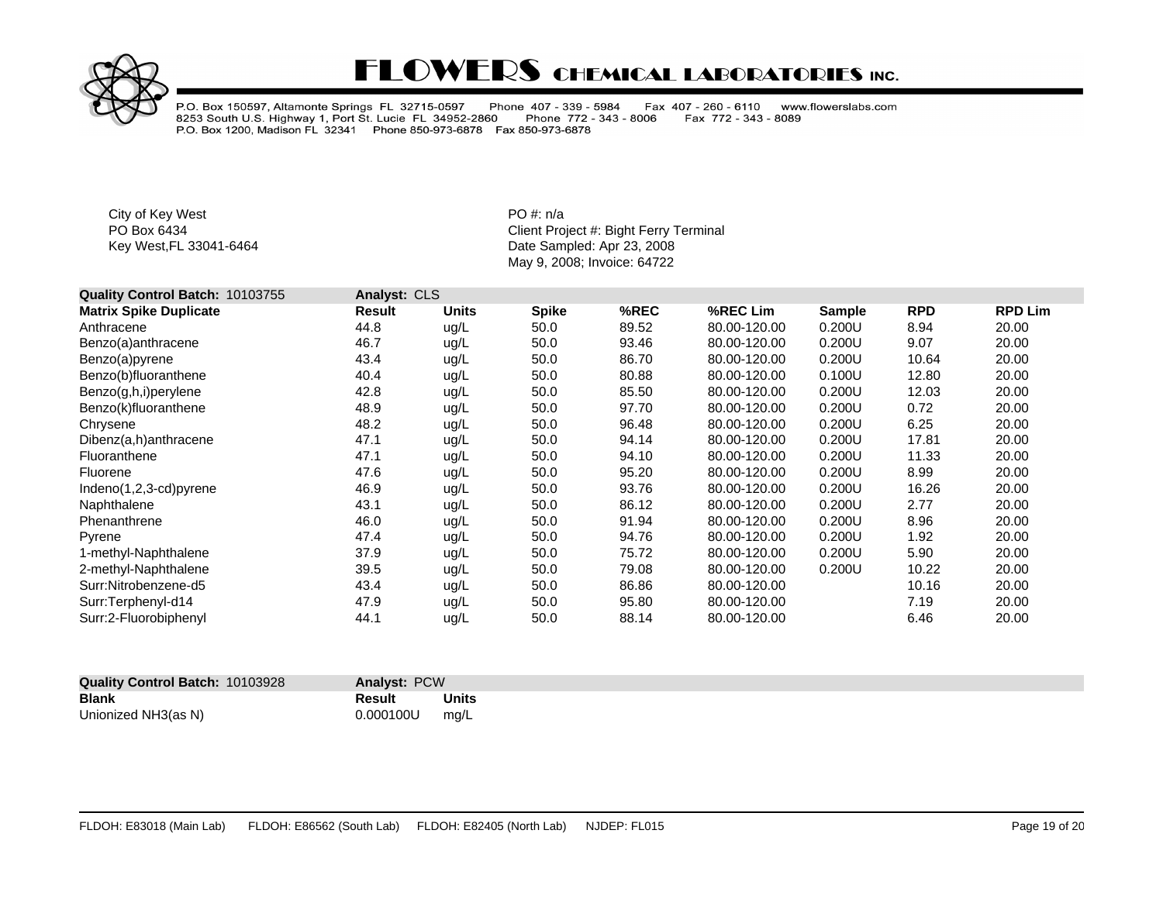

P.O. Box 150597, Altamonte Springs FL 32715-0597 Phone 407 - 339 - 5984<br>8253 South U.S. Highway 1, Port St. Lucie FL 34952-2860 Phone 772 - 343<br>P.O. Box 1200, Madison FL 32341 Phone 850-973-6878 Fax 850-973-6878 Fax 407 - 260 - 6110 www.flowerslabs.com Fax 772 - 343 - 8089 Phone 772 - 343 - 8006

City of Key West **PO** #: n/a

| Quality Control Batch: 10103755 | Analyst: CLS |              |              |       |              |               |            |                |
|---------------------------------|--------------|--------------|--------------|-------|--------------|---------------|------------|----------------|
| <b>Matrix Spike Duplicate</b>   | Result       | <b>Units</b> | <b>Spike</b> | %REC  | %REC Lim     | <b>Sample</b> | <b>RPD</b> | <b>RPD Lim</b> |
| Anthracene                      | 44.8         | ug/L         | 50.0         | 89.52 | 80.00-120.00 | 0.200U        | 8.94       | 20.00          |
| Benzo(a)anthracene              | 46.7         | ug/L         | 50.0         | 93.46 | 80.00-120.00 | 0.200U        | 9.07       | 20.00          |
| Benzo(a)pyrene                  | 43.4         | ug/L         | 50.0         | 86.70 | 80.00-120.00 | 0.200U        | 10.64      | 20.00          |
| Benzo(b)fluoranthene            | 40.4         | ug/L         | 50.0         | 80.88 | 80.00-120.00 | 0.100U        | 12.80      | 20.00          |
| Benzo(g,h,i)perylene            | 42.8         | ug/L         | 50.0         | 85.50 | 80.00-120.00 | 0.200U        | 12.03      | 20.00          |
| Benzo(k)fluoranthene            | 48.9         | ug/L         | 50.0         | 97.70 | 80.00-120.00 | 0.200U        | 0.72       | 20.00          |
| Chrysene                        | 48.2         | ug/L         | 50.0         | 96.48 | 80.00-120.00 | 0.200U        | 6.25       | 20.00          |
| Dibenz(a,h)anthracene           | 47.1         | ug/L         | 50.0         | 94.14 | 80.00-120.00 | 0.200U        | 17.81      | 20.00          |
| Fluoranthene                    | 47.1         | ug/L         | 50.0         | 94.10 | 80.00-120.00 | 0.200U        | 11.33      | 20.00          |
| Fluorene                        | 47.6         | ug/L         | 50.0         | 95.20 | 80.00-120.00 | 0.200U        | 8.99       | 20.00          |
| Indeno(1,2,3-cd)pyrene          | 46.9         | ug/L         | 50.0         | 93.76 | 80.00-120.00 | 0.200U        | 16.26      | 20.00          |
| Naphthalene                     | 43.1         | ug/L         | 50.0         | 86.12 | 80.00-120.00 | 0.200U        | 2.77       | 20.00          |
| Phenanthrene                    | 46.0         | ug/L         | 50.0         | 91.94 | 80.00-120.00 | 0.200U        | 8.96       | 20.00          |
| Pyrene                          | 47.4         | ug/L         | 50.0         | 94.76 | 80.00-120.00 | 0.200U        | 1.92       | 20.00          |
| 1-methyl-Naphthalene            | 37.9         | ug/L         | 50.0         | 75.72 | 80.00-120.00 | 0.200U        | 5.90       | 20.00          |
| 2-methyl-Naphthalene            | 39.5         | ug/L         | 50.0         | 79.08 | 80.00-120.00 | 0.200U        | 10.22      | 20.00          |
| Surr:Nitrobenzene-d5            | 43.4         | ug/L         | 50.0         | 86.86 | 80.00-120.00 |               | 10.16      | 20.00          |
| Surr:Terphenyl-d14              | 47.9         | ug/L         | 50.0         | 95.80 | 80.00-120.00 |               | 7.19       | 20.00          |
| Surr:2-Fluorobiphenyl           | 44.1         | ug/L         | 50.0         | 88.14 | 80.00-120.00 |               | 6.46       | 20.00          |

| <b>Quality Control Batch: 10103928</b> | <b>Analyst: PCW</b> |              |
|----------------------------------------|---------------------|--------------|
| Blank                                  | Result              | <b>Units</b> |
| Unionized NH3(as N)                    | 0.000100U           | ma/L         |